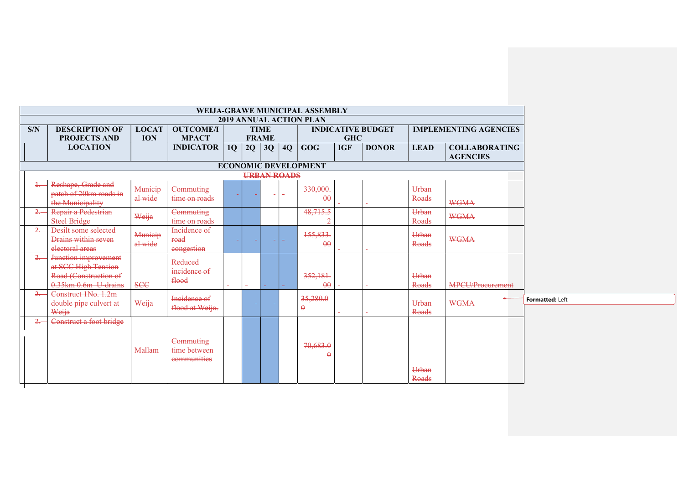|                |                                                                                              |                    |                                          |           |        |                    |        | WEIJA-GBAWE MUNICIPAL ASSEMBLY |            |                          |                |                                         |
|----------------|----------------------------------------------------------------------------------------------|--------------------|------------------------------------------|-----------|--------|--------------------|--------|--------------------------------|------------|--------------------------|----------------|-----------------------------------------|
|                |                                                                                              |                    |                                          |           |        |                    |        | 2019 ANNUAL ACTION PLAN        |            |                          |                |                                         |
| S/N            | <b>DESCRIPTION OF</b>                                                                        | <b>LOCAT</b>       | <b>OUTCOME/I</b>                         |           |        | <b>TIME</b>        |        |                                |            | <b>INDICATIVE BUDGET</b> |                | <b>IMPLEMENTING AGENCIES</b>            |
|                | <b>PROJECTS AND</b>                                                                          | <b>ION</b>         | <b>MPACT</b>                             |           |        | <b>FRAME</b>       |        |                                | <b>GHC</b> |                          |                |                                         |
|                | <b>LOCATION</b>                                                                              |                    | <b>INDICATOR</b>                         | <b>1Q</b> |        | $2Q \mid 3Q$       | 4Q     | <b>GOG</b>                     | <b>IGF</b> | <b>DONOR</b>             | <b>LEAD</b>    | <b>COLLABORATING</b><br><b>AGENCIES</b> |
|                |                                                                                              |                    |                                          |           |        |                    |        | <b>ECONOMIC DEVELOPMENT</b>    |            |                          |                |                                         |
|                |                                                                                              |                    |                                          |           |        | <b>URBAN ROADS</b> |        |                                |            |                          |                |                                         |
|                | Reshape, Grade and<br>patch of 20km roads in<br>the Municipality                             | Municip<br>al wide | Commuting<br>time on roads               |           |        |                    |        | 330,000.<br>$\theta$           |            |                          | Urban<br>Roads | <b>WGMA</b>                             |
| $\rightarrow$  | Repair a Pedestrian<br><b>Steel Bridge</b>                                                   | Weija              | Commuting<br>time on roads               |           |        |                    |        | 48,715.5<br>$\overline{2}$     |            |                          | Urban<br>Roads | <b>WGMA</b>                             |
| $\overline{2}$ | Desilt some selected<br>Drains within seven<br>electoral areas                               | Municip<br>al wide | Incidence of<br>road<br>congestion       |           |        |                    |        | 155,833.<br>$\theta$           |            |                          | Urban<br>Roads | <b>WGMA</b>                             |
| $\overline{2}$ | Junction improvement<br>at SCC High Tension<br>Road (Construction of<br>0.35km 0.6m U drains | <b>SCC</b>         | Reduced<br>incidence of<br>flood         |           |        | ÷.                 |        | 352,181.<br>$\theta$           |            | $\equiv$                 | Urban<br>Roads | <b>MPCU/Procurement</b>                 |
| $\frac{2}{2}$  | Construct 1No. 1.2m<br>double pipe eulvert at<br>Weija                                       | Weija              | Incidence of<br>flood at Weija.          | $\sim$    | $\sim$ | $\sim$             | $\sim$ | 35,280.0<br>A                  |            |                          | Urban<br>Roads | <b>WGMA</b>                             |
| 2.             | Construct a foot bridge                                                                      | Mallam             | Commuting<br>time between<br>communities |           |        |                    |        | 70,683.0<br>$\mathbf{a}$       |            |                          | Urban<br>Roads |                                         |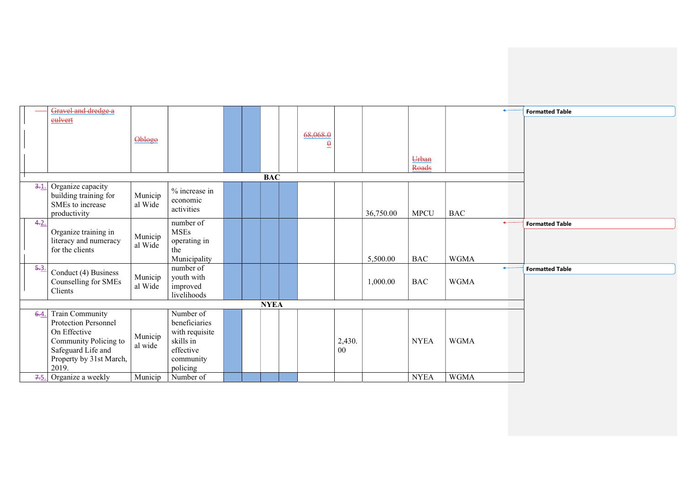|         | Gravel and dredge a     |         |                         |  |             |          |        |           |             |              |              | <b>Formatted Table</b> |
|---------|-------------------------|---------|-------------------------|--|-------------|----------|--------|-----------|-------------|--------------|--------------|------------------------|
|         | eulvert                 |         |                         |  |             |          |        |           |             |              |              |                        |
|         |                         |         |                         |  |             |          |        |           |             |              |              |                        |
|         |                         | Oblogo  |                         |  |             | 68,068.0 |        |           |             |              |              |                        |
|         |                         |         |                         |  |             | $\theta$ |        |           |             |              |              |                        |
|         |                         |         |                         |  |             |          |        |           | Urban       |              |              |                        |
|         |                         |         |                         |  |             |          |        |           | Roads       |              |              |                        |
|         |                         |         |                         |  | <b>BAC</b>  |          |        |           |             |              |              |                        |
| $3 - 1$ | Organize capacity       |         |                         |  |             |          |        |           |             |              |              |                        |
|         | building training for   | Municip | % increase in           |  |             |          |        |           |             |              |              |                        |
|         | SMEs to increase        | al Wide | economic<br>activities  |  |             |          |        |           |             |              |              |                        |
|         | productivity            |         |                         |  |             |          |        | 36,750.00 | <b>MPCU</b> | <b>BAC</b>   |              |                        |
| 4.2.    |                         |         | number of               |  |             |          |        |           |             |              | $\leftarrow$ | <b>Formatted Table</b> |
|         | Organize training in    | Municip | <b>MSEs</b>             |  |             |          |        |           |             |              |              |                        |
|         | literacy and numeracy   | al Wide | operating in            |  |             |          |        |           |             |              |              |                        |
|         | for the clients         |         | the                     |  |             |          |        |           |             |              |              |                        |
|         |                         |         | Municipality            |  |             |          |        | 5,500.00  | <b>BAC</b>  | <b>WGMA</b>  |              |                        |
| $5 - 3$ | Conduct (4) Business    |         | number of               |  |             |          |        |           |             | $\leftarrow$ |              | <b>Formatted Table</b> |
|         | Counselling for SMEs    | Municip | youth with              |  |             |          |        | 1,000.00  | <b>BAC</b>  | <b>WGMA</b>  |              |                        |
|         | Clients                 | al Wide | improved<br>livelihoods |  |             |          |        |           |             |              |              |                        |
|         |                         |         |                         |  | <b>NYEA</b> |          |        |           |             |              |              |                        |
| $6-4$   | Train Community         |         | Number of               |  |             |          |        |           |             |              |              |                        |
|         | Protection Personnel    |         | beneficiaries           |  |             |          |        |           |             |              |              |                        |
|         | On Effective            |         | with requisite          |  |             |          |        |           |             |              |              |                        |
|         | Community Policing to   | Municip | skills in               |  |             |          | 2,430. |           | <b>NYEA</b> | <b>WGMA</b>  |              |                        |
|         | Safeguard Life and      | al wide | effective               |  |             |          | 00     |           |             |              |              |                        |
|         | Property by 31st March, |         | community               |  |             |          |        |           |             |              |              |                        |
|         | 2019.                   |         | policing                |  |             |          |        |           |             |              |              |                        |
| 7.5.    | Organize a weekly       | Municip | Number of               |  |             |          |        |           | <b>NYEA</b> | <b>WGMA</b>  |              |                        |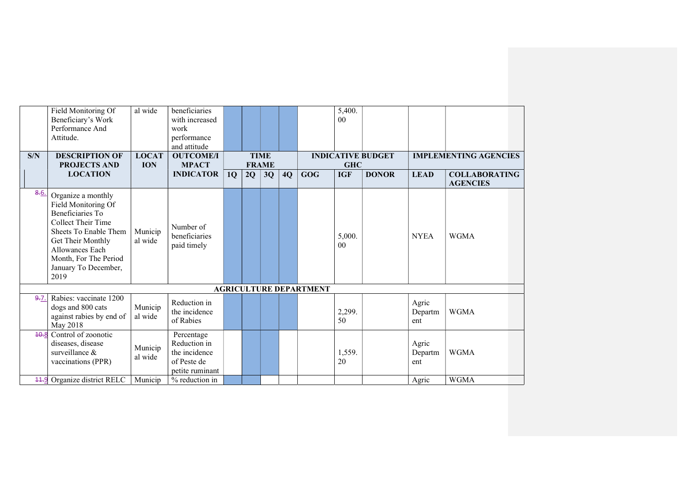|      | Field Monitoring Of                                                                                                                                                                                           | al wide            | beneficiaries                                                                 |    |    |              |    |                               | 5,400.                   |                          |                         |                              |
|------|---------------------------------------------------------------------------------------------------------------------------------------------------------------------------------------------------------------|--------------------|-------------------------------------------------------------------------------|----|----|--------------|----|-------------------------------|--------------------------|--------------------------|-------------------------|------------------------------|
|      | Beneficiary's Work                                                                                                                                                                                            |                    | with increased                                                                |    |    |              |    |                               | 0 <sub>0</sub>           |                          |                         |                              |
|      | Performance And                                                                                                                                                                                               |                    | work                                                                          |    |    |              |    |                               |                          |                          |                         |                              |
|      | Attitude.                                                                                                                                                                                                     |                    | performance                                                                   |    |    |              |    |                               |                          |                          |                         |                              |
|      |                                                                                                                                                                                                               |                    | and attitude                                                                  |    |    |              |    |                               |                          |                          |                         |                              |
| S/N  | <b>DESCRIPTION OF</b>                                                                                                                                                                                         | <b>LOCAT</b>       | <b>OUTCOME/I</b>                                                              |    |    | <b>TIME</b>  |    |                               |                          | <b>INDICATIVE BUDGET</b> |                         | <b>IMPLEMENTING AGENCIES</b> |
|      | <b>PROJECTS AND</b>                                                                                                                                                                                           | <b>ION</b>         | <b>MPACT</b>                                                                  |    |    | <b>FRAME</b> |    |                               | <b>GHC</b>               |                          |                         |                              |
|      | <b>LOCATION</b>                                                                                                                                                                                               |                    | <b>INDICATOR</b>                                                              | 1Q | 2Q | 3Q           | 4Q | <b>GOG</b>                    | <b>IGF</b>               | <b>DONOR</b>             | <b>LEAD</b>             | <b>COLLABORATING</b>         |
|      |                                                                                                                                                                                                               |                    |                                                                               |    |    |              |    |                               |                          |                          |                         | <b>AGENCIES</b>              |
| 8.6. | Organize a monthly<br>Field Monitoring Of<br>Beneficiaries To<br>Collect Their Time<br>Sheets To Enable Them<br>Get Their Monthly<br>Allowances Each<br>Month, For The Period<br>January To December,<br>2019 | Municip<br>al wide | Number of<br>beneficiaries<br>paid timely                                     |    |    |              |    |                               | 5,000.<br>0 <sub>0</sub> |                          | <b>NYEA</b>             | <b>WGMA</b>                  |
|      |                                                                                                                                                                                                               |                    |                                                                               |    |    |              |    | <b>AGRICULTURE DEPARTMENT</b> |                          |                          |                         |                              |
| 9.7. | Rabies: vaccinate 1200<br>dogs and 800 cats<br>against rabies by end of<br>May 2018                                                                                                                           | Municip<br>al wide | Reduction in<br>the incidence<br>of Rabies                                    |    |    |              |    |                               | 2,299.<br>50             |                          | Agric<br>Departm<br>ent | <b>WGMA</b>                  |
| 40.8 | Control of zoonotic<br>diseases, disease<br>surveillance &<br>vaccinations (PPR)                                                                                                                              | Municip<br>al wide | Percentage<br>Reduction in<br>the incidence<br>of Peste de<br>petite ruminant |    |    |              |    |                               | 1,559.<br>20             |                          | Agric<br>Departm<br>ent | <b>WGMA</b>                  |
|      | 44.9 Organize district RELC                                                                                                                                                                                   | Municip            | % reduction in                                                                |    |    |              |    |                               |                          |                          | Agric                   | <b>WGMA</b>                  |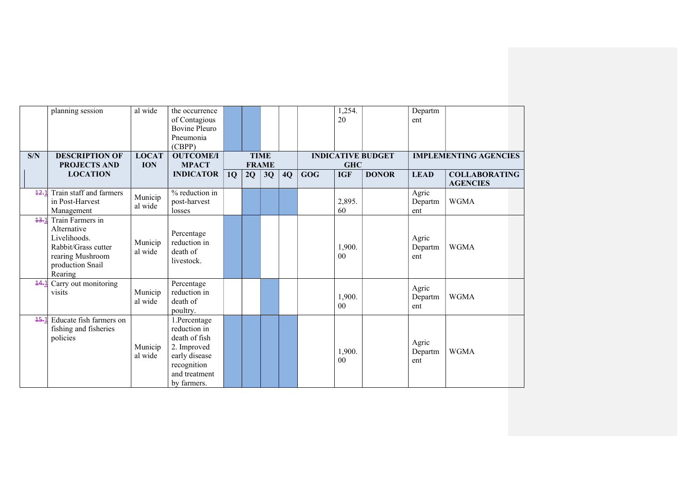| al wide<br>planning session<br>1,254.<br>the occurrence<br>Departm                                              |                              |
|-----------------------------------------------------------------------------------------------------------------|------------------------------|
| 20<br>of Contagious<br>ent                                                                                      |                              |
| <b>Bovine Pleuro</b>                                                                                            |                              |
| Pneumonia                                                                                                       |                              |
| (CBPP)                                                                                                          |                              |
| <b>OUTCOME/I</b><br>S/N<br><b>DESCRIPTION OF</b><br><b>LOCAT</b><br><b>TIME</b><br><b>INDICATIVE BUDGET</b>     | <b>IMPLEMENTING AGENCIES</b> |
| <b>PROJECTS AND</b><br><b>ION</b><br><b>MPACT</b><br><b>FRAME</b><br><b>GHC</b>                                 |                              |
| <b>DONOR</b><br><b>LOCATION</b><br><b>INDICATOR</b><br>4Q<br>GOG<br><b>IGF</b><br><b>LEAD</b><br>1Q<br>2Q<br>3Q | <b>COLLABORATING</b>         |
|                                                                                                                 | <b>AGENCIES</b>              |
| Train staff and farmers<br>% reduction in<br>Agric<br>12.1<br>Municip                                           |                              |
| 2,895.<br>in Post-Harvest<br>post-harvest<br>Departm<br>al wide                                                 | <b>WGMA</b>                  |
| 60<br>Management<br>losses<br>ent                                                                               |                              |
| Train Farmers in<br>13.1                                                                                        |                              |
| Alternative<br>Percentage                                                                                       |                              |
| Livelihoods.<br>Agric<br>reduction in<br>Municip                                                                |                              |
| 1,900.<br>Rabbit/Grass cutter<br>Departm<br>al wide<br>death of                                                 | <b>WGMA</b>                  |
| rearing Mushroom<br>0 <sup>0</sup><br>ent<br>livestock.                                                         |                              |
| production Snail                                                                                                |                              |
| Rearing                                                                                                         |                              |
| Carry out monitoring<br>Percentage<br>14.1                                                                      |                              |
| Agric<br>reduction in<br>Municip<br>visits                                                                      | <b>WGMA</b>                  |
| 1,900.<br>Departm<br>al wide<br>death of                                                                        |                              |
| 0 <sup>0</sup><br>ent<br>poultry.                                                                               |                              |
| Educate fish farmers on<br>1.Percentage<br>15.1                                                                 |                              |
| reduction in<br>fishing and fisheries                                                                           |                              |
| policies<br>death of fish                                                                                       |                              |
| Agric<br>Municip<br>2. Improved                                                                                 |                              |
| 1,900.<br>Departm<br>al wide<br>early disease                                                                   | <b>WGMA</b>                  |
| 0 <sub>0</sub><br>ent<br>recognition                                                                            |                              |
| and treatment                                                                                                   |                              |
| by farmers.                                                                                                     |                              |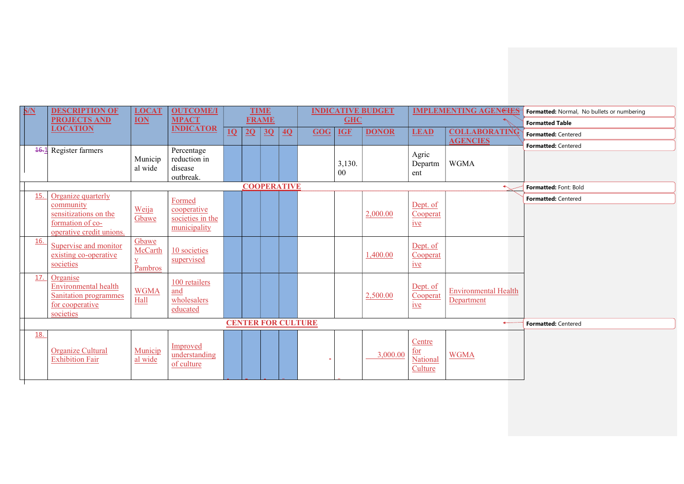| S/N | <b>DESCRIPTION OF</b>                                                                                   | <b>LOCAT</b>                | <b>OUTCOME/I</b>                                |    |    | <b>TIME</b>  |                    |                           |                          | <b>INDICATIVE BUDGET</b> |                                      | <b>IMPLEMENTING AGENGIES</b>              | Formatted: Normal, No bullets or numbering |
|-----|---------------------------------------------------------------------------------------------------------|-----------------------------|-------------------------------------------------|----|----|--------------|--------------------|---------------------------|--------------------------|--------------------------|--------------------------------------|-------------------------------------------|--------------------------------------------|
|     | <b>PROJECTS AND</b>                                                                                     | <b>ION</b>                  | <b>MPACT</b>                                    |    |    | <b>FRAME</b> |                    |                           | <b>GHC</b>               |                          |                                      |                                           | <b>Formatted Table</b>                     |
|     | <b>LOCATION</b>                                                                                         |                             | <b>INDICATOR</b>                                | 1Q | 2Q | 3Q           | 4Q                 | GOG                       | <b>IGF</b>               | <b>DONOR</b>             | <b>LEAD</b>                          | <b>COLLABORATING</b>                      | Formatted: Centered                        |
|     | <b>16.1</b> Register farmers                                                                            |                             | Percentage                                      |    |    |              |                    |                           |                          |                          |                                      | <b>AGENCIES</b>                           | Formatted: Centered                        |
|     |                                                                                                         | Municip<br>al wide          | reduction in<br>disease<br>outbreak.            |    |    |              |                    |                           | 3,130.<br>0 <sub>0</sub> |                          | Agric<br>Departm<br>ent              | <b>WGMA</b>                               |                                            |
|     |                                                                                                         |                             |                                                 |    |    |              | <b>COOPERATIVE</b> |                           |                          |                          |                                      |                                           | Formatted: Font: Bold                      |
| 15. | Organize quarterly                                                                                      |                             | Formed                                          |    |    |              |                    |                           |                          |                          |                                      |                                           | Formatted: Centered                        |
|     | community<br>sensitizations on the<br>formation of co-<br>operative credit unions.                      | Weija<br>Gbawe              | cooperative<br>societies in the<br>municipality |    |    |              |                    |                           |                          | 2,000.00                 | Dept. of<br>Cooperat<br>$ive$        |                                           |                                            |
| 16. | Supervise and monitor<br>existing co-operative<br>societies                                             | Gbawe<br>McCarth<br>Pambros | 10 societies<br>supervised                      |    |    |              |                    |                           |                          | 1,400.00                 | Dept. of<br>Cooperat<br>$ive$        |                                           |                                            |
| 17. | Organise<br><b>Environmental health</b><br><b>Sanitation programmes</b><br>for cooperative<br>societies | <b>WGMA</b><br>Hall         | 100 retailers<br>and<br>wholesalers<br>educated |    |    |              |                    |                           |                          | 2,500.00                 | Dept. of<br>Cooperat<br>$ive$        | <b>Environmental Health</b><br>Department |                                            |
|     |                                                                                                         |                             |                                                 |    |    |              |                    | <b>CENTER FOR CULTURE</b> |                          |                          |                                      |                                           | Formatted: Centered                        |
| 18. | Organize Cultural<br><b>Exhibition Fair</b>                                                             | Municip<br>al wide          | Improved<br>understanding<br>of culture         |    |    |              |                    |                           |                          | 3,000.00                 | Centre<br>for<br>National<br>Culture | <b>WGMA</b>                               |                                            |

 $\blacksquare$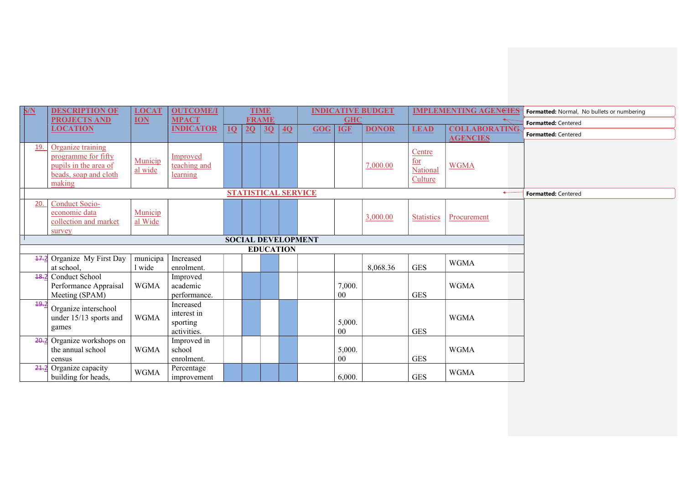| S/N  | <b>DESCRIPTION OF</b>                                                                                | <b>LOCAT</b>       | <b>OUTCOME/I</b>                                    |    |              | <b>TIME</b> |                  |                            |              | <b>INDICATIVE BUDGET</b> |                                      | <b>IMPLEMENTING AGENCIES</b>            | Formatted: Normal, No bullets or numbering |
|------|------------------------------------------------------------------------------------------------------|--------------------|-----------------------------------------------------|----|--------------|-------------|------------------|----------------------------|--------------|--------------------------|--------------------------------------|-----------------------------------------|--------------------------------------------|
|      | <b>PROJECTS AND</b>                                                                                  | <b>ION</b>         | <b>MPACT</b>                                        |    | <b>FRAME</b> |             |                  |                            | <b>GHC</b>   |                          |                                      |                                         | Formatted: Centered                        |
|      | <b>LOCATION</b>                                                                                      |                    | <b>INDICATOR</b>                                    | 10 | $2Q \mid 3Q$ |             | 4Q               | GOG                        | <b>IGF</b>   | <b>DONOR</b>             | <b>LEAD</b>                          | <b>COLLABORATING</b><br><b>AGENCIES</b> | Formatted: Centered                        |
| 19.  | Organize training<br>programme for fifty<br>pupils in the area of<br>beads, soap and cloth<br>making | Municip<br>al wide | Improved<br>teaching and<br>learning                |    |              |             |                  |                            |              | 7,000.00                 | Centre<br>for<br>National<br>Culture | <b>WGMA</b>                             |                                            |
|      |                                                                                                      |                    |                                                     |    |              |             |                  | <b>STATISTICAL SERVICE</b> |              |                          |                                      | $\leftarrow$                            | Formatted: Centered                        |
| 20.  | <b>Conduct Socio-</b><br>economic data<br>collection and market<br>survey                            | Municip<br>al Wide |                                                     |    |              |             |                  |                            |              | 3,000.00                 | <b>Statistics</b>                    | Procurement                             |                                            |
|      |                                                                                                      |                    |                                                     |    |              |             |                  | <b>SOCIAL DEVELOPMENT</b>  |              |                          |                                      |                                         |                                            |
|      |                                                                                                      |                    |                                                     |    |              |             | <b>EDUCATION</b> |                            |              |                          |                                      |                                         |                                            |
|      | 47.2 Organize My First Day<br>at school,                                                             | municipa<br>1 wide | Increased<br>enrolment.                             |    |              |             |                  |                            |              | 8,068.36                 | <b>GES</b>                           | <b>WGMA</b>                             |                                            |
| 48.2 | Conduct School<br>Performance Appraisal<br>Meeting (SPAM)                                            | <b>WGMA</b>        | Improved<br>academic<br>performance.                |    |              |             |                  |                            | 7,000.<br>00 |                          | <b>GES</b>                           | <b>WGMA</b>                             |                                            |
| 49.2 | Organize interschool<br>under 15/13 sports and<br>games                                              | <b>WGMA</b>        | Increased<br>interest in<br>sporting<br>activities. |    |              |             |                  |                            | 5,000.<br>00 |                          | <b>GES</b>                           | <b>WGMA</b>                             |                                            |
| 20.2 | Organize workshops on<br>the annual school<br>census                                                 | <b>WGMA</b>        | Improved in<br>school<br>enrolment.                 |    |              |             |                  |                            | 5,000.<br>00 |                          | <b>GES</b>                           | <b>WGMA</b>                             |                                            |
| 24.2 | Organize capacity<br>building for heads,                                                             | <b>WGMA</b>        | Percentage<br>improvement                           |    |              |             |                  |                            | 6,000.       |                          | <b>GES</b>                           | <b>WGMA</b>                             |                                            |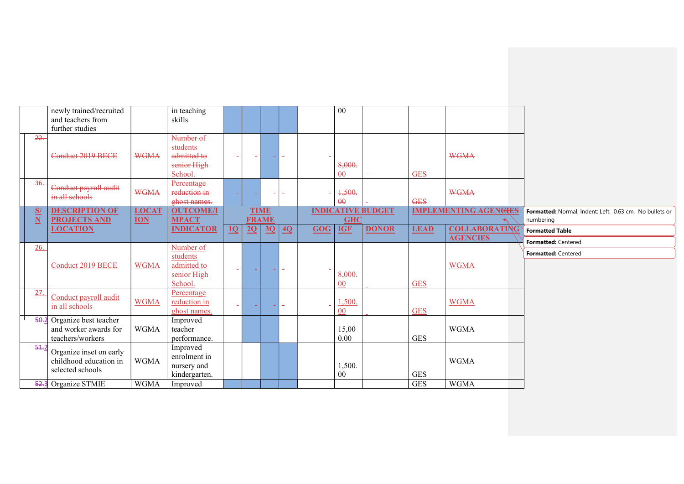|               | newly trained/recruited    |              | in teaching      |        |    |              |                 |     | 00             |                          |             |                              |                                                         |
|---------------|----------------------------|--------------|------------------|--------|----|--------------|-----------------|-----|----------------|--------------------------|-------------|------------------------------|---------------------------------------------------------|
|               | and teachers from          |              | skills           |        |    |              |                 |     |                |                          |             |                              |                                                         |
|               | further studies            |              |                  |        |    |              |                 |     |                |                          |             |                              |                                                         |
| $22 -$        |                            |              | Number of        |        |    |              |                 |     |                |                          |             |                              |                                                         |
|               |                            |              | students         |        |    |              |                 |     |                |                          |             |                              |                                                         |
|               | Conduct 2019 BECE          | <b>WGMA</b>  | admitted to      |        |    |              |                 |     |                |                          |             | <b>WGMA</b>                  |                                                         |
|               |                            |              | senior High      |        |    |              |                 |     | 8,000.         |                          |             |                              |                                                         |
|               |                            |              | School.          |        |    |              |                 |     | $\theta\theta$ |                          | <b>GES</b>  |                              |                                                         |
| 36.           | Conduct payroll audit      |              | Percentage       |        |    |              |                 |     |                |                          |             |                              |                                                         |
|               | in all schools             | <b>WGMA</b>  | reduction in     |        |    |              |                 |     | 1,500.         |                          |             | <b>WGMA</b>                  |                                                         |
|               |                            |              | ghost names.     |        |    |              |                 |     | $\theta\theta$ |                          | <b>GES</b>  |                              |                                                         |
| $\frac{S}{N}$ | <b>DESCRIPTION OF</b>      | <b>LOCAT</b> | <b>OUTCOME/I</b> |        |    | <b>TIME</b>  |                 |     |                | <b>INDICATIVE BUDGET</b> |             | <b>IMPLEMENTING AGENGIES</b> | Formatted: Normal, Indent: Left: 0.63 cm, No bullets or |
|               | <b>PROJECTS AND</b>        | <b>ION</b>   | <b>MPACT</b>     |        |    | <b>FRAME</b> |                 |     | <b>GHC</b>     |                          |             |                              | numbering                                               |
|               | <b>LOCATION</b>            |              | <b>INDICATOR</b> | 10     | 2Q | 3Q           | $\overline{40}$ | GOG | <b>IGF</b>     | <b>DONOR</b>             | <b>LEAD</b> | <b>COLLABORATING</b>         | <b>Formatted Table</b>                                  |
|               |                            |              |                  |        |    |              |                 |     |                |                          |             | <b>AGENCIES</b>              | Formatted: Centered                                     |
| 26.           |                            |              | Number of        |        |    |              |                 |     |                |                          |             |                              | Formatted: Centered                                     |
|               |                            |              | students         |        |    |              |                 |     |                |                          |             |                              |                                                         |
|               | <b>Conduct 2019 BECE</b>   | <b>WGMA</b>  | admitted to      | $\sim$ |    |              |                 |     |                |                          |             | <b>WGMA</b>                  |                                                         |
|               |                            |              | senior High      |        |    |              |                 |     | 8,000.         |                          |             |                              |                                                         |
|               |                            |              | School.          |        |    |              |                 |     | 00             |                          | <b>GES</b>  |                              |                                                         |
| 27.           | Conduct payroll audit      |              | Percentage       |        |    |              |                 |     |                |                          |             |                              |                                                         |
|               | in all schools             | <b>WGMA</b>  | reduction in     | m.     |    |              | $\blacksquare$  |     | 1,500.         |                          |             | <b>WGMA</b>                  |                                                         |
|               |                            |              | ghost names.     |        |    |              |                 |     | 00             |                          | <b>GES</b>  |                              |                                                         |
|               | 50.2 Organize best teacher |              | Improved         |        |    |              |                 |     |                |                          |             |                              |                                                         |
|               | and worker awards for      | <b>WGMA</b>  | teacher          |        |    |              |                 |     | 15,00          |                          |             | <b>WGMA</b>                  |                                                         |
|               | teachers/workers           |              | performance.     |        |    |              |                 |     | 0.00           |                          | <b>GES</b>  |                              |                                                         |
| 54.2          | Organize inset on early    |              | Improved         |        |    |              |                 |     |                |                          |             |                              |                                                         |
|               | childhood education in     | <b>WGMA</b>  | enrolment in     |        |    |              |                 |     |                |                          |             | <b>WGMA</b>                  |                                                         |
|               | selected schools           |              | nursery and      |        |    |              |                 |     | 1,500.         |                          |             |                              |                                                         |
|               |                            |              | kindergarten.    |        |    |              |                 |     | 00             |                          | <b>GES</b>  |                              |                                                         |
|               | 52.3 Organize STMIE        | <b>WGMA</b>  | Improved         |        |    |              |                 |     |                |                          | <b>GES</b>  | <b>WGMA</b>                  |                                                         |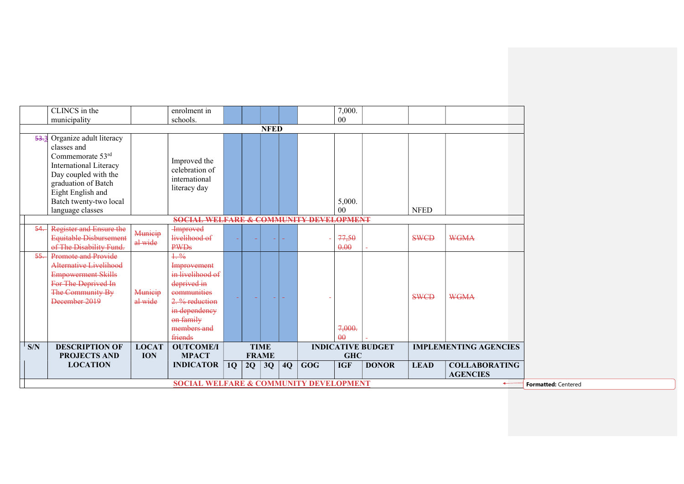|        | CLINCS in the                                                                                                                                                                      |                            | enrolment in                                                                                                                                    |    |    |                             |    |            | 7,000.             |                          |             |                              |                            |
|--------|------------------------------------------------------------------------------------------------------------------------------------------------------------------------------------|----------------------------|-------------------------------------------------------------------------------------------------------------------------------------------------|----|----|-----------------------------|----|------------|--------------------|--------------------------|-------------|------------------------------|----------------------------|
|        | municipality                                                                                                                                                                       |                            | schools.                                                                                                                                        |    |    |                             |    |            | 00                 |                          |             |                              |                            |
|        |                                                                                                                                                                                    |                            |                                                                                                                                                 |    |    | <b>NFED</b>                 |    |            |                    |                          |             |                              |                            |
| 53.3   | Organize adult literacy<br>classes and<br>Commemorate 53rd<br>International Literacy<br>Day coupled with the<br>graduation of Batch<br>Eight English and<br>Batch twenty-two local |                            | Improved the<br>celebration of<br>international<br>literacy day                                                                                 |    |    |                             |    |            | 5,000.             |                          |             |                              |                            |
|        | language classes                                                                                                                                                                   |                            |                                                                                                                                                 |    |    |                             |    |            | 00                 |                          | <b>NFED</b> |                              |                            |
|        |                                                                                                                                                                                    |                            | <b>SOCIAL WELFARE &amp; COMMUNITY DEVELOPMENT</b>                                                                                               |    |    |                             |    |            |                    |                          |             |                              |                            |
| 54     | <b>Register and Ensure the</b><br>Equitable Disbursement<br>of The Disability Fund.                                                                                                | Municip<br>al wide         | <b>Improved</b><br>livelihood of<br><b>PWDs</b>                                                                                                 |    |    |                             |    |            | 77,50<br>0.00      |                          | <b>SWCD</b> | <b>WGMA</b>                  |                            |
| $55 -$ | <b>Promote and Provide</b><br><b>Alternative Livelihood</b><br><b>Empowerment Skills</b><br>For The Deprived In<br>The Community By<br>December 2019                               | Municip<br>al wide         | 1.96<br>Improvement<br>in livelihood of<br>deprived in<br>communities<br>2. % reduction<br>in dependency<br>on family<br>members and<br>friends |    |    |                             |    |            | 7,000.<br>$\theta$ |                          | <b>SWCD</b> | <b>WGMA</b>                  |                            |
| S/N    | <b>DESCRIPTION OF</b><br><b>PROJECTS AND</b>                                                                                                                                       | <b>LOCAT</b><br><b>ION</b> | <b>OUTCOME/I</b><br><b>MPACT</b>                                                                                                                |    |    | <b>TIME</b><br><b>FRAME</b> |    |            | <b>GHC</b>         | <b>INDICATIVE BUDGET</b> |             | <b>IMPLEMENTING AGENCIES</b> |                            |
|        | <b>LOCATION</b>                                                                                                                                                                    |                            | <b>INDICATOR</b>                                                                                                                                | 1Q | 2Q | 3Q                          | 4Q | <b>GOG</b> | <b>IGF</b>         | <b>DONOR</b>             | <b>LEAD</b> | <b>COLLABORATING</b>         |                            |
|        |                                                                                                                                                                                    |                            |                                                                                                                                                 |    |    |                             |    |            |                    |                          |             | <b>AGENCIES</b>              |                            |
|        |                                                                                                                                                                                    |                            | <b>SOCIAL WELFARE &amp; COMMUNITY DEVELOPMENT</b>                                                                                               |    |    |                             |    |            |                    |                          |             | $\leftarrow$                 | <b>Formatted: Centered</b> |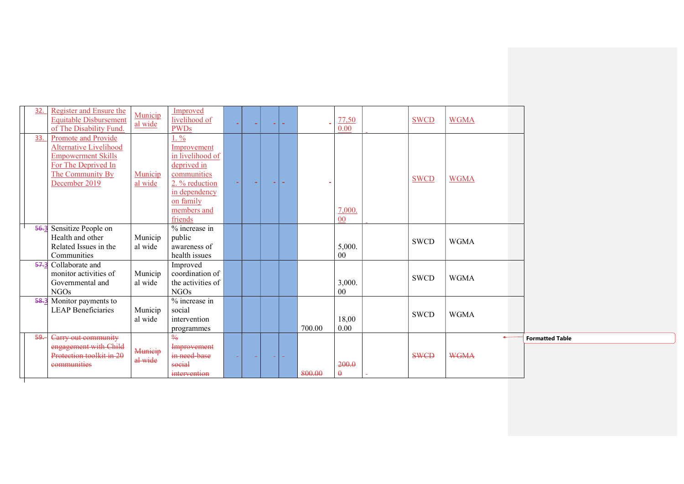| 32.  | Register and Ensure the<br><b>Equitable Disbursement</b><br>of The Disability Fund.                                                           | Municip<br>al wide | Improved<br>livelihood of<br><b>PWDs</b>                                                                                                           |  | m. |        | 77,50<br>0.00     | <b>SWCD</b> | <b>WGMA</b>                 |                        |
|------|-----------------------------------------------------------------------------------------------------------------------------------------------|--------------------|----------------------------------------------------------------------------------------------------------------------------------------------------|--|----|--------|-------------------|-------------|-----------------------------|------------------------|
| 33.  | Promote and Provide<br><b>Alternative Livelihood</b><br><b>Empowerment Skills</b><br>For The Deprived In<br>The Community By<br>December 2019 | Municip<br>al wide | $1. \%$<br>Improvement<br>in livelihood of<br>deprived in<br>communities<br>2. % reduction<br>in dependency<br>on family<br>members and<br>friends |  |    |        | 7,000.<br>00      | <b>SWCD</b> | <b>WGMA</b>                 |                        |
| 56.3 | Sensitize People on<br>Health and other<br>Related Issues in the<br>Communities                                                               | Municip<br>al wide | $%$ increase in<br>public<br>awareness of<br>health issues                                                                                         |  |    |        | 5,000.<br>$00\,$  | <b>SWCD</b> | <b>WGMA</b>                 |                        |
| 57.3 | Collaborate and<br>monitor activities of<br>Governmental and<br><b>NGOs</b>                                                                   | Municip<br>al wide | Improved<br>coordination of<br>the activities of<br><b>NGOs</b>                                                                                    |  |    |        | 3,000.<br>00      | <b>SWCD</b> | <b>WGMA</b>                 |                        |
|      | 58.3 Monitor payments to<br><b>LEAP Beneficiaries</b>                                                                                         | Municip<br>al wide | % increase in<br>social<br>intervention<br>programmes                                                                                              |  |    | 700.00 | 18,00<br>0.00     | <b>SWCD</b> | <b>WGMA</b>                 |                        |
| -99  | Carry out community<br>engagement with Child<br>Protection toolkit in 20<br>communities                                                       | Municip<br>al wide | $\frac{0}{6}$<br>Improvement<br>in need base<br>social<br>intervention                                                                             |  |    | 800.00 | 200.0<br>$\theta$ | <b>SWCD</b> | $\leftarrow$<br><b>WGMA</b> | <b>Formatted Table</b> |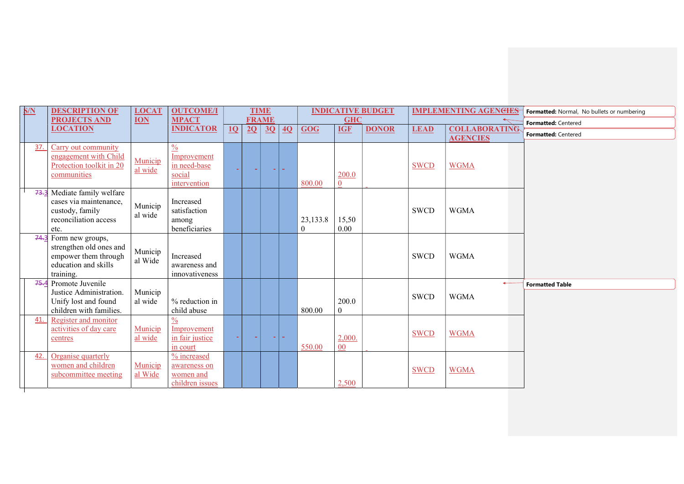| S/N | <b>DESCRIPTION OF</b><br><b>PROJECTS AND</b>                                                                    | <b>LOCAT</b><br><b>ION</b> | <b>OUTCOME/I</b><br><b>MPACT</b>                                       |    | <b>TIME</b><br><b>FRAME</b> |    |    |                             | <b>GHC</b>            | <b>INDICATIVE BUDGET</b> |             | <b>IMPLEMENTING AGENCIES</b> | Formatted: Normal, No bullets or numbering |
|-----|-----------------------------------------------------------------------------------------------------------------|----------------------------|------------------------------------------------------------------------|----|-----------------------------|----|----|-----------------------------|-----------------------|--------------------------|-------------|------------------------------|--------------------------------------------|
|     | <b>LOCATION</b>                                                                                                 |                            | <b>INDICATOR</b>                                                       | 10 | 2Q                          | 3Q | 4Q | GOG                         | <b>IGF</b>            | <b>DONOR</b>             | <b>LEAD</b> | <b>COLLABORATING</b>         | Formatted: Centered                        |
|     |                                                                                                                 |                            |                                                                        |    |                             |    |    |                             |                       |                          |             | <b>AGENCIES</b>              | Formatted: Centered                        |
| 37. | Carry out community<br>engagement with Child<br>Protection toolkit in 20<br>communities                         | Municip<br>al wide         | $\frac{0}{0}$<br>Improvement<br>in need-base<br>social<br>intervention |    |                             |    |    | 800.00                      | 200.0<br>$\Omega$     |                          | <b>SWCD</b> | <b>WGMA</b>                  |                                            |
|     | 73.3 Mediate family welfare<br>cases via maintenance,<br>custody, family<br>reconciliation access<br>etc.       | Municip<br>al wide         | Increased<br>satisfaction<br>among<br>beneficiaries                    |    |                             |    |    | 23, 133.8<br>$\overline{0}$ | 15,50<br>0.00         |                          | <b>SWCD</b> | <b>WGMA</b>                  |                                            |
|     | $74.3$ Form new groups,<br>strengthen old ones and<br>empower them through<br>education and skills<br>training. | Municip<br>al Wide         | Increased<br>awareness and<br>innovativeness                           |    |                             |    |    |                             |                       |                          | <b>SWCD</b> | <b>WGMA</b>                  |                                            |
|     | 75.4 Promote Juvenile<br>Justice Administration.<br>Unify lost and found<br>children with families.             | Municip<br>al wide         | % reduction in<br>child abuse                                          |    |                             |    |    | 800.00                      | 200.0<br>$\mathbf{0}$ |                          | <b>SWCD</b> | <b>WGMA</b>                  | <b>Formatted Table</b>                     |
| 41. | Register and monitor<br>activities of day care<br>centres                                                       | Municip<br>al wide         | $\frac{0}{0}$<br>Improvement<br>in fair justice<br>in court            |    |                             |    |    | 550.00                      | 2,000.<br>00          |                          | <b>SWCD</b> | <b>WGMA</b>                  |                                            |
| 42. | Organise quarterly<br>women and children<br>subcommittee meeting                                                | Municip<br>al Wide         | % increased<br>awareness on<br>women and<br>children issues            |    |                             |    |    |                             | 2,500                 |                          | <b>SWCD</b> | <b>WGMA</b>                  |                                            |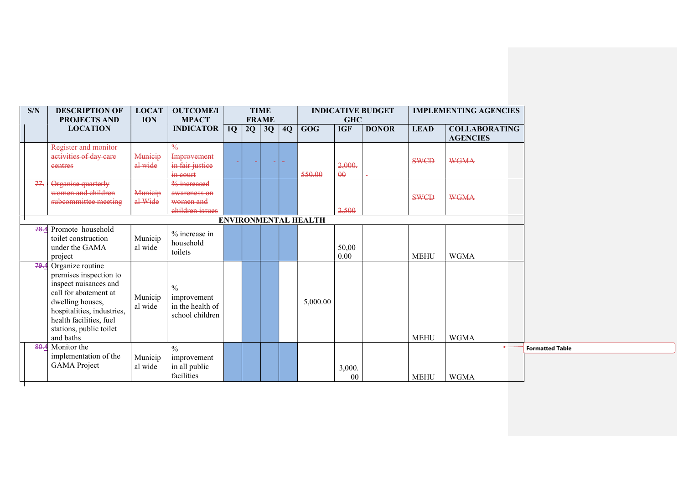| S/N  | <b>DESCRIPTION OF</b><br><b>PROJECTS AND</b>                                                                                                                                                                           | <b>LOCAT</b><br><b>ION</b> | <b>OUTCOME/I</b><br><b>MPACT</b>                                    |    | <b>TIME</b><br><b>FRAME</b> |    |                             | <b>GHC</b>         | <b>INDICATIVE BUDGET</b> |             | <b>IMPLEMENTING AGENCIES</b>            |
|------|------------------------------------------------------------------------------------------------------------------------------------------------------------------------------------------------------------------------|----------------------------|---------------------------------------------------------------------|----|-----------------------------|----|-----------------------------|--------------------|--------------------------|-------------|-----------------------------------------|
|      | <b>LOCATION</b>                                                                                                                                                                                                        |                            | <b>INDICATOR</b>                                                    | 1Q | $2Q \mid 3Q$                | 4Q | <b>GOG</b>                  | <b>IGF</b>         | <b>DONOR</b>             | <b>LEAD</b> | <b>COLLABORATING</b><br><b>AGENCIES</b> |
|      | Register and monitor<br>activities of day care<br>eentres                                                                                                                                                              | Municip<br>al wide         | $\frac{0}{6}$<br><b>Improvement</b><br>in fair justice<br>in court  |    | ÷                           |    | 550.00                      | 2,000.<br>$\theta$ |                          | <b>SWCD</b> | <b>WGMA</b>                             |
| 77.  | Organise quarterly<br>women and children<br>subcommittee meeting                                                                                                                                                       | Municip<br>al Wide         | $%$ increased<br>awareness on<br>women and<br>children issues       |    |                             |    |                             | 2,500              |                          | <b>SWCD</b> | <b>WGMA</b>                             |
|      |                                                                                                                                                                                                                        |                            |                                                                     |    |                             |    | <b>ENVIRONMENTAL HEALTH</b> |                    |                          |             |                                         |
|      | 78.4 Promote household<br>toilet construction<br>under the GAMA<br>project                                                                                                                                             | Municip<br>al wide         | % increase in<br>household<br>toilets                               |    |                             |    |                             | 50,00<br>0.00      |                          | <b>MEHU</b> | <b>WGMA</b>                             |
|      | 79.4 Organize routine<br>premises inspection to<br>inspect nuisances and<br>call for abatement at<br>dwelling houses,<br>hospitalities, industries,<br>health facilities, fuel<br>stations, public toilet<br>and baths | Municip<br>al wide         | $\frac{0}{0}$<br>improvement<br>in the health of<br>school children |    |                             |    | 5,000.00                    |                    |                          | <b>MEHU</b> | <b>WGMA</b>                             |
| 80.4 | Monitor the                                                                                                                                                                                                            |                            | $\frac{0}{0}$                                                       |    |                             |    |                             |                    |                          |             | $\leftarrow$                            |
|      | implementation of the<br><b>GAMA</b> Project                                                                                                                                                                           | Municip<br>al wide         | improvement<br>in all public<br>facilities                          |    |                             |    |                             | 3,000.<br>00       |                          | <b>MEHU</b> | <b>WGMA</b>                             |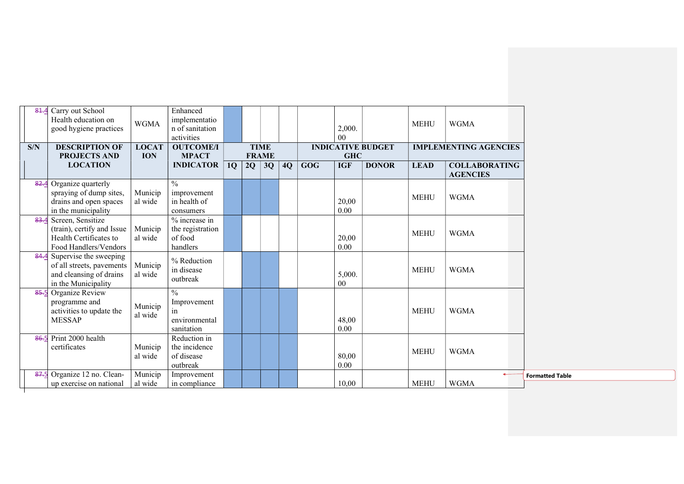| 81.4 | Carry out School<br>Health education on<br>good hygiene practices | <b>WGMA</b>                | Enhanced<br>implementatio<br>n of sanitation |    |              |              |    |            | 2,000.     |                          | <b>MEHU</b> | <b>WGMA</b>                  |  |
|------|-------------------------------------------------------------------|----------------------------|----------------------------------------------|----|--------------|--------------|----|------------|------------|--------------------------|-------------|------------------------------|--|
|      |                                                                   |                            | activities                                   |    |              |              |    |            | 00         |                          |             |                              |  |
| S/N  | <b>DESCRIPTION OF</b><br><b>PROJECTS AND</b>                      | <b>LOCAT</b><br><b>ION</b> | <b>OUTCOME/I</b><br><b>MPACT</b>             |    | <b>FRAME</b> | <b>TIME</b>  |    |            | <b>GHC</b> | <b>INDICATIVE BUDGET</b> |             | <b>IMPLEMENTING AGENCIES</b> |  |
|      | <b>LOCATION</b>                                                   |                            | <b>INDICATOR</b>                             | 1Q |              | $2Q \mid 3Q$ | 4Q | <b>GOG</b> | <b>IGF</b> | <b>DONOR</b>             | <b>LEAD</b> | <b>COLLABORATING</b>         |  |
|      |                                                                   |                            |                                              |    |              |              |    |            |            |                          |             | <b>AGENCIES</b>              |  |
| 82.4 | Organize quarterly                                                |                            | $\frac{0}{0}$                                |    |              |              |    |            |            |                          |             |                              |  |
|      | spraying of dump sites,                                           | Municip                    | improvement                                  |    |              |              |    |            |            |                          | <b>MEHU</b> | <b>WGMA</b>                  |  |
|      | drains and open spaces                                            | al wide                    | in health of                                 |    |              |              |    |            | 20,00      |                          |             |                              |  |
|      | in the municipality                                               |                            | consumers<br>$%$ increase in                 |    |              |              |    |            | 0.00       |                          |             |                              |  |
| 83.4 | Screen, Sensitize<br>(train), certify and Issue                   | Municip                    | the registration                             |    |              |              |    |            |            |                          |             |                              |  |
|      | Health Certificates to                                            | al wide                    | of food                                      |    |              |              |    |            | 20,00      |                          | <b>MEHU</b> | <b>WGMA</b>                  |  |
|      | Food Handlers/Vendors                                             |                            | handlers                                     |    |              |              |    |            | $0.00\,$   |                          |             |                              |  |
| 84.4 | Supervise the sweeping                                            |                            | % Reduction                                  |    |              |              |    |            |            |                          |             |                              |  |
|      | of all streets, pavements                                         | Municip                    | in disease                                   |    |              |              |    |            |            |                          | <b>MEHU</b> | <b>WGMA</b>                  |  |
|      | and cleansing of drains                                           | al wide                    | outbreak                                     |    |              |              |    |            | 5,000.     |                          |             |                              |  |
|      | in the Municipality                                               |                            | $\frac{0}{0}$                                |    |              |              |    |            | 00         |                          |             |                              |  |
| 85.5 | Organize Review<br>programme and                                  |                            | Improvement                                  |    |              |              |    |            |            |                          |             |                              |  |
|      | activities to update the                                          | Municip                    | 1n                                           |    |              |              |    |            |            |                          | <b>MEHU</b> | <b>WGMA</b>                  |  |
|      | <b>MESSAP</b>                                                     | al wide                    | environmental                                |    |              |              |    |            | 48,00      |                          |             |                              |  |
|      |                                                                   |                            | sanitation                                   |    |              |              |    |            | 0.00       |                          |             |                              |  |
|      | 86.5 Print 2000 health                                            |                            | Reduction in                                 |    |              |              |    |            |            |                          |             |                              |  |
|      | certificates                                                      | Municip                    | the incidence                                |    |              |              |    |            |            |                          | <b>MEHU</b> | <b>WGMA</b>                  |  |
|      |                                                                   | al wide                    | of disease                                   |    |              |              |    |            | 80,00      |                          |             |                              |  |
|      |                                                                   | Municip                    | outbreak                                     |    |              |              |    |            | 0.00       |                          |             |                              |  |
|      | 87.5 Organize 12 no. Clean-<br>up exercise on national            | al wide                    | Improvement<br>in compliance                 |    |              |              |    |            | 10,00      |                          | <b>MEHU</b> | <b>WGMA</b>                  |  |
|      |                                                                   |                            |                                              |    |              |              |    |            |            |                          |             |                              |  |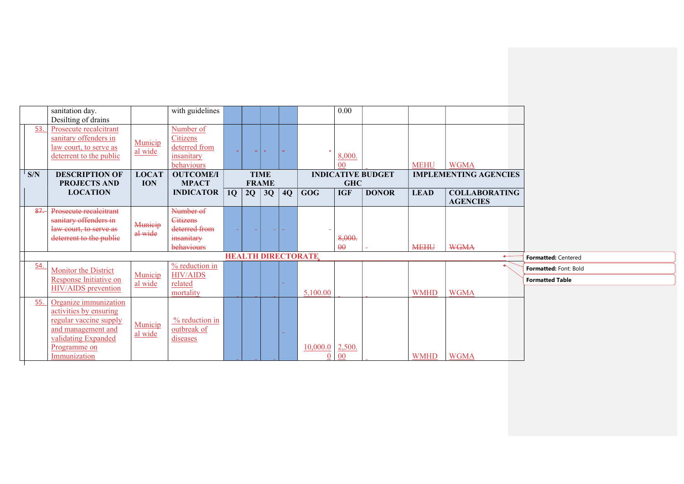|     | sanitation day.             |              | with guidelines                               |    |                 |              |    |                               | 0.00                     |                          |             |                              |                        |
|-----|-----------------------------|--------------|-----------------------------------------------|----|-----------------|--------------|----|-------------------------------|--------------------------|--------------------------|-------------|------------------------------|------------------------|
|     | Desilting of drains         |              |                                               |    |                 |              |    |                               |                          |                          |             |                              |                        |
| 53. | Prosecute recalcitrant      |              | Number of                                     |    |                 |              |    |                               |                          |                          |             |                              |                        |
|     | sanitary offenders in       | Municip      | <b>Citizens</b>                               |    |                 |              |    |                               |                          |                          |             |                              |                        |
|     | law court, to serve as      | al wide      | deterred from                                 |    | <b>Contract</b> |              |    |                               |                          |                          |             |                              |                        |
|     | deterrent to the public     |              | insanitary<br>behaviours                      |    |                 |              |    |                               | 8,000.<br>0 <sup>0</sup> |                          | <b>MEHU</b> | <b>WGMA</b>                  |                        |
| S/N | <b>DESCRIPTION OF</b>       | <b>LOCAT</b> | <b>OUTCOME/I</b>                              |    |                 | <b>TIME</b>  |    |                               |                          | <b>INDICATIVE BUDGET</b> |             | <b>IMPLEMENTING AGENCIES</b> |                        |
|     | <b>PROJECTS AND</b>         | <b>ION</b>   | <b>MPACT</b>                                  |    |                 | <b>FRAME</b> |    |                               | <b>GHC</b>               |                          |             |                              |                        |
|     | <b>LOCATION</b>             |              | <b>INDICATOR</b>                              | 1Q | 2Q              | 3Q           | 4Q | <b>GOG</b>                    | <b>IGF</b>               | <b>DONOR</b>             | <b>LEAD</b> | <b>COLLABORATING</b>         |                        |
|     |                             |              |                                               |    |                 |              |    |                               |                          |                          |             | <b>AGENCIES</b>              |                        |
| 87. | Prosecute recalcitrant      |              | Number of                                     |    |                 |              |    |                               |                          |                          |             |                              |                        |
|     | sanitary offenders in       | Municip      | Citizens                                      |    |                 |              |    |                               |                          |                          |             |                              |                        |
|     | law court, to serve as      | al wide      | deterred from                                 |    |                 |              |    |                               |                          |                          |             |                              |                        |
|     | deterrent to the public     |              | insanitary                                    |    |                 |              |    |                               | 8,000.                   |                          |             |                              |                        |
|     |                             |              | behaviours                                    |    |                 |              |    |                               | $\theta$                 |                          | <b>MEHU</b> | <b>WGMA</b>                  |                        |
|     |                             |              |                                               |    |                 |              |    | <b>HEALTH DIRECTORATE</b>     |                          |                          |             | $\leftarrow$                 | Formatted: Centered    |
| 54. | <b>Monitor the District</b> | Municip      | $\frac{9}{6}$ reduction in<br><b>HIV/AIDS</b> |    |                 |              |    |                               |                          |                          |             |                              | Formatted: Font: Bold  |
|     | Response Initiative on      | al wide      | related                                       |    |                 |              |    |                               |                          |                          |             |                              | <b>Formatted Table</b> |
|     | <b>HIV/AIDS</b> prevention  |              | mortality                                     |    |                 |              |    | 5,100.00                      |                          |                          | <b>WMHD</b> | <b>WGMA</b>                  |                        |
| 55. | Organize immunization       |              |                                               |    |                 |              |    |                               |                          |                          |             |                              |                        |
|     | activities by ensuring      |              |                                               |    |                 |              |    |                               |                          |                          |             |                              |                        |
|     | regular vaccine supply      | Municip      | % reduction in                                |    |                 |              |    |                               |                          |                          |             |                              |                        |
|     | and management and          | al wide      | outbreak of                                   |    |                 |              |    |                               |                          |                          |             |                              |                        |
|     | validating Expanded         |              | diseases                                      |    |                 |              |    |                               |                          |                          |             |                              |                        |
|     | Programme on                |              |                                               |    |                 |              |    | $\underline{10,000.0}$ 2,500. |                          |                          |             |                              |                        |
|     | Immunization                |              |                                               |    |                 |              |    | $\Omega$                      | $\overline{00}$          |                          | <b>WMHD</b> | <b>WGMA</b>                  |                        |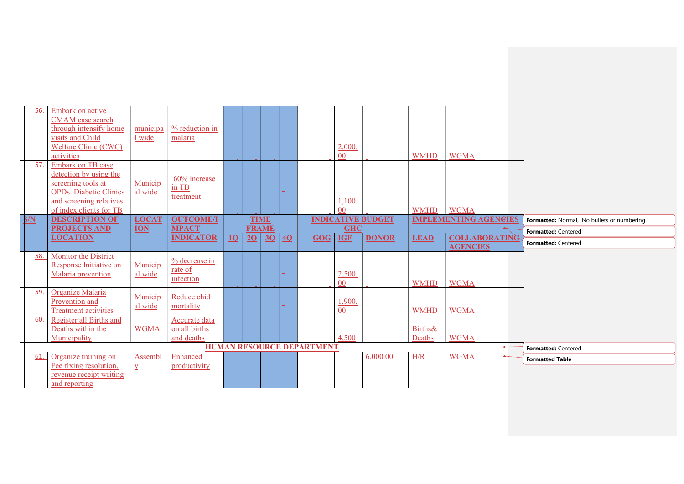| 56. | Embark on active<br>CMAM case search<br>through intensify home<br>visits and Child<br><b>Welfare Clinic (CWC)</b><br>activities                          | municipa<br>1 wide | % reduction in<br>malaria                    |           |    |              |    |                                  | 2,000.<br>00 <sup>°</sup> |                          | <b>WMHD</b>                  | <b>WGMA</b>                             |                                            |
|-----|----------------------------------------------------------------------------------------------------------------------------------------------------------|--------------------|----------------------------------------------|-----------|----|--------------|----|----------------------------------|---------------------------|--------------------------|------------------------------|-----------------------------------------|--------------------------------------------|
| 57. | Embark on TB case<br>detection by using the<br>screening tools at<br><b>OPDs.</b> Diabetic Clinics<br>and screening relatives<br>of index clients for TB | Municip<br>al wide | 60% increase<br>in TB<br>treatment           |           |    |              |    |                                  | 1,100.<br>0 <sup>0</sup>  |                          | <b>WMHD</b>                  | <b>WGMA</b>                             |                                            |
| S/N | <b>DESCRIPTION OF</b>                                                                                                                                    | <b>LOCAT</b>       | <b>OUTCOME/I</b>                             |           |    | <b>TIME</b>  |    |                                  |                           | <b>INDICATIVE BUDGET</b> |                              | <b>IMPLEMENTING AGENCIES</b>            | Formatted: Normal, No bullets or numbering |
|     | <b>PROJECTS AND</b>                                                                                                                                      | <b>ION</b>         | <b>MPACT</b>                                 |           |    | <b>FRAME</b> |    |                                  | <b>GHC</b>                |                          |                              |                                         | Formatted: Centered                        |
|     | <b>LOCATION</b>                                                                                                                                          |                    | <b>INDICATOR</b>                             | <b>10</b> | 2Q | 3Q           | 4Q | <b>GOG</b>                       | <b>IGF</b>                | <b>DONOR</b>             | <b>LEAD</b>                  | <b>COLLABORATING</b><br><b>AGENCIES</b> | Formatted: Centered                        |
| 58. | Monitor the District<br>Response Initiative on<br>Malaria prevention                                                                                     | Municip<br>al wide | % decrease in<br>rate of<br>infection        |           |    |              |    |                                  | 2,500.<br>$00\,$          |                          | <b>WMHD</b>                  | <b>WGMA</b>                             |                                            |
| 59. | Organize Malaria<br>Prevention and<br><b>Treatment activities</b>                                                                                        | Municip<br>al wide | Reduce chid<br>mortality                     |           |    |              |    |                                  | 1,900.<br>00              |                          | <b>WMHD</b>                  | <b>WGMA</b>                             |                                            |
| 60. | Register all Births and<br>Deaths within the<br>Municipality                                                                                             | <b>WGMA</b>        | Accurate data<br>on all births<br>and deaths |           |    |              |    |                                  | 4,500                     |                          | <b>Births&amp;</b><br>Deaths | <b>WGMA</b>                             |                                            |
|     |                                                                                                                                                          |                    |                                              |           |    |              |    | <b>HUMAN RESOURCE DEPARTMENT</b> |                           |                          |                              | $\leftarrow$                            | Formatted: Centered                        |
| 61. |                                                                                                                                                          |                    |                                              |           |    |              |    |                                  |                           | 6,000.00                 | H/R                          | <b>WGMA</b>                             |                                            |
|     | Organize training on                                                                                                                                     | Assembl            | Enhanced                                     |           |    |              |    |                                  |                           |                          |                              |                                         | <b>Formatted Table</b>                     |
|     | Fee fixing resolution,<br>revenue receipt writing                                                                                                        | $\overline{Y}$     | productivity                                 |           |    |              |    |                                  |                           |                          |                              |                                         |                                            |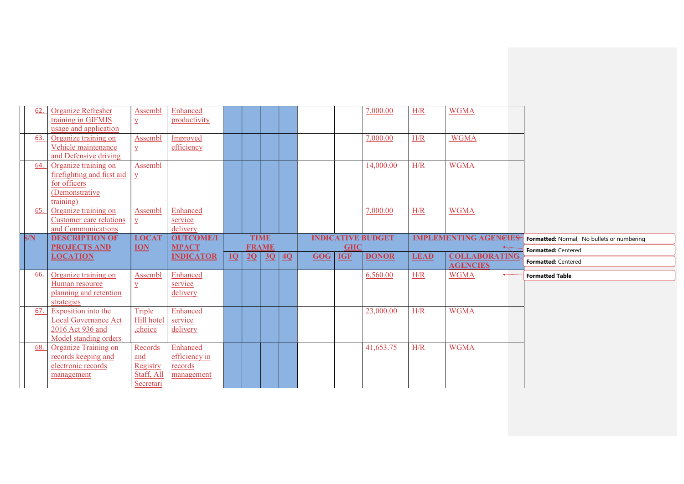| Formatted: Centered                                               |
|-------------------------------------------------------------------|
|                                                                   |
|                                                                   |
| <b>Formatted Table</b>                                            |
|                                                                   |
|                                                                   |
|                                                                   |
|                                                                   |
|                                                                   |
|                                                                   |
|                                                                   |
|                                                                   |
|                                                                   |
|                                                                   |
|                                                                   |
|                                                                   |
| Formatted: Normal, No bullets or numbering<br>Formatted: Centered |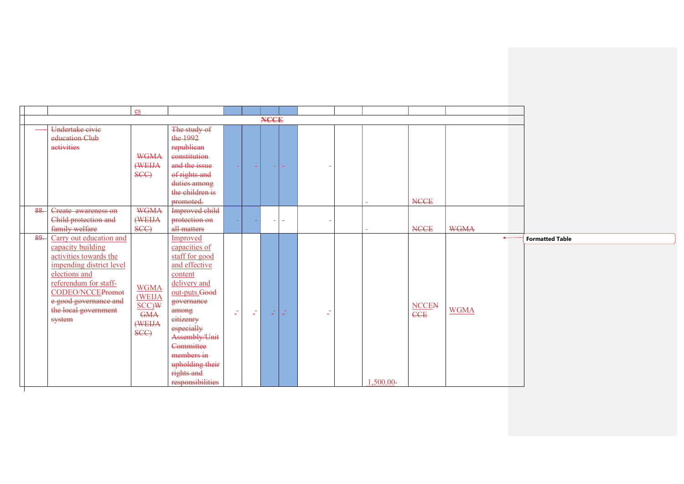|     |                                                                                                                                                                                                                             | es                                                            |                                                                                                                                                                                                                                                             |        |           |             |                          |    |           |                     |                             |                        |
|-----|-----------------------------------------------------------------------------------------------------------------------------------------------------------------------------------------------------------------------------|---------------------------------------------------------------|-------------------------------------------------------------------------------------------------------------------------------------------------------------------------------------------------------------------------------------------------------------|--------|-----------|-------------|--------------------------|----|-----------|---------------------|-----------------------------|------------------------|
|     |                                                                                                                                                                                                                             |                                                               |                                                                                                                                                                                                                                                             |        |           | <b>NCCE</b> |                          |    |           |                     |                             |                        |
|     | Undertake civie<br>education Club<br>activities                                                                                                                                                                             | <b>WGMA</b><br>(WEIJA<br>SCC                                  | The study of<br>the 1992<br>republican<br>constitution<br>and the issue<br>of rights and<br>duties among<br>the children is<br>promoted.                                                                                                                    | and in |           |             |                          |    |           | <b>NCCE</b>         |                             |                        |
| 88. | Create awareness on<br>Child protection and<br>family welfare                                                                                                                                                               | <b>WGMA</b><br>(WEIJA<br>SCC)                                 | Improved child<br>protection on<br>all matters                                                                                                                                                                                                              |        |           |             | $\overline{\phantom{0}}$ |    |           | <b>NCCE</b>         | <b>WGMA</b>                 |                        |
| 89. | Carry out education and<br>capacity building<br>activities towards the<br>impending district level<br>elections and<br>referendum for staff-<br>CODEO/NCCEPromot<br>e good governance and<br>the local government<br>system | <b>WGMA</b><br>(WEIJA<br>SCC)W<br><b>GMA</b><br>(WEIJA<br>SCC | Improved<br>capacities of<br>staff for good<br>and effective<br>content<br>delivery and<br>out-puts.Good<br>governance<br>among<br>eitizenry<br>especially<br>Assembly/Unit<br>Committee<br>members in<br>upholding their<br>rights and<br>responsibilities | Z.     | $\varphi$ | Œ,          | $\sim$<br>$\sim$ 1       | Z. | 1,500.00- | <b>NCCEN</b><br>CCE | $\leftarrow$<br><b>WGMA</b> | <b>Formatted Table</b> |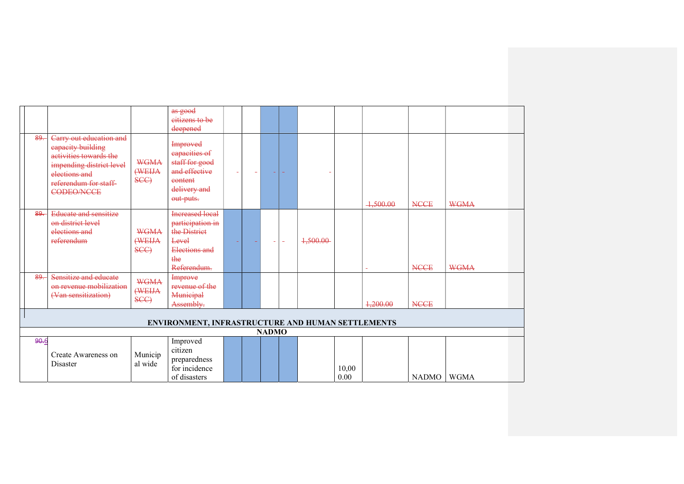|      |                                                                                                                                                                  |                               | as good<br>eitizens to be<br>deepened                                                                       |                          |                          |              |                          |          |               |                          |              |             |  |
|------|------------------------------------------------------------------------------------------------------------------------------------------------------------------|-------------------------------|-------------------------------------------------------------------------------------------------------------|--------------------------|--------------------------|--------------|--------------------------|----------|---------------|--------------------------|--------------|-------------|--|
| 89.  | Carry out education and<br>eapacity building<br>activities towards the<br>impending district level<br>elections and<br>referendum for staff<br><b>CODEO/NCCE</b> | <b>WGMA</b><br>(WEIJA<br>SCC) | <b>Improved</b><br>eapacities of<br>staff for good<br>and effective<br>eontent<br>delivery and<br>out puts. | $\overline{\phantom{a}}$ | $\overline{\phantom{a}}$ | ÷            | $\sim$                   |          |               | 4,500.00                 | <b>NCCE</b>  | <b>WGMA</b> |  |
| 89.  | <b>Educate and sensitize</b><br>on district level<br>elections and<br>referendum                                                                                 | <b>WGMA</b><br>(WEIJA<br>SCC) | <b>Increased local</b><br>participation in<br>the District<br>Level<br>Elections and<br>the<br>Referendum.  |                          |                          | $\equiv$     | $\overline{\phantom{a}}$ | 1,500.00 |               | $\overline{\phantom{a}}$ | <b>NCCE</b>  | <b>WGMA</b> |  |
| 89.  | Sensitize and educate<br>on revenue mobilization<br>(Van sensitization)                                                                                          | <b>WGMA</b><br>(WEIJA<br>SCC) | Improve<br>revenue of the<br>Municipal<br>Assembly.                                                         |                          |                          |              |                          |          |               | 4,200.00                 | <b>NCCE</b>  |             |  |
|      |                                                                                                                                                                  |                               | ENVIRONMENT, INFRASTRUCTURE AND HUMAN SETTLEMENTS                                                           |                          |                          |              |                          |          |               |                          |              |             |  |
|      |                                                                                                                                                                  |                               |                                                                                                             |                          |                          | <b>NADMO</b> |                          |          |               |                          |              |             |  |
| 90.6 | Create Awareness on<br>Disaster                                                                                                                                  | Municip<br>al wide            | Improved<br>citizen<br>preparedness<br>for incidence<br>of disasters                                        |                          |                          |              |                          |          | 10,00<br>0.00 |                          | <b>NADMO</b> | <b>WGMA</b> |  |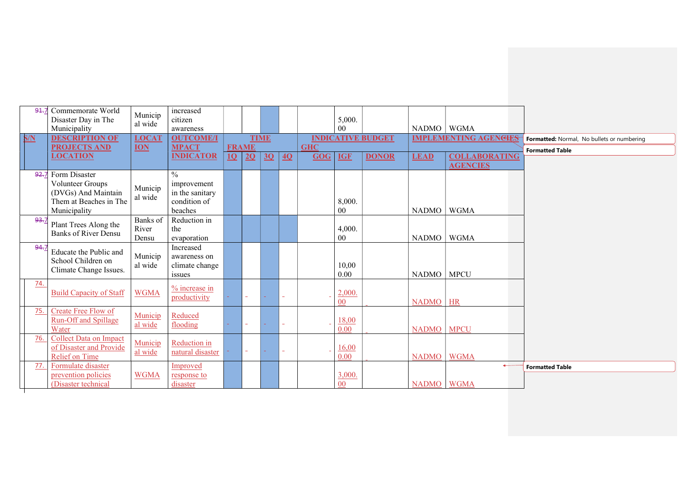| 91.7 | Commemorate World<br>Disaster Day in The<br>Municipality | Municip<br>al wide | increased<br>citizen<br>awareness |    |              |             |    |            | 5,000.<br>0 <sub>0</sub> |                          | NADMO   WGMA |                                         |                                            |
|------|----------------------------------------------------------|--------------------|-----------------------------------|----|--------------|-------------|----|------------|--------------------------|--------------------------|--------------|-----------------------------------------|--------------------------------------------|
| S/N  | <b>DESCRIPTION OF</b>                                    | <b>LOCAT</b>       | <b>OUTCOME/I</b>                  |    |              | <b>TIME</b> |    |            |                          | <b>INDICATIVE BUDGET</b> |              | <b>IMPLEMENTING AGENCIES</b>            | Formatted: Normal, No bullets or numbering |
|      | <b>PROJECTS AND</b>                                      | <b>ION</b>         | <b>MPACT</b>                      |    | <b>FRAME</b> |             |    | <b>GHC</b> |                          |                          |              |                                         | <b>Formatted Table</b>                     |
|      | <b>LOCATION</b>                                          |                    | <b>INDICATOR</b>                  | 10 | 2Q           | 3Q          | 40 | GOG        | <b>IGF</b>               | <b>DONOR</b>             | <b>LEAD</b>  | <b>COLLABORATING</b><br><b>AGENCIES</b> |                                            |
|      | 92.7 Form Disaster                                       |                    | $\frac{0}{0}$                     |    |              |             |    |            |                          |                          |              |                                         |                                            |
|      | Volunteer Groups                                         |                    | improvement                       |    |              |             |    |            |                          |                          |              |                                         |                                            |
|      | (DVGs) And Maintain                                      | Municip            | in the sanitary                   |    |              |             |    |            |                          |                          |              |                                         |                                            |
|      | Them at Beaches in The                                   | al wide            | condition of                      |    |              |             |    |            | 8,000.                   |                          |              |                                         |                                            |
|      | Municipality                                             |                    | beaches                           |    |              |             |    |            | $00\,$                   |                          | <b>NADMO</b> | <b>WGMA</b>                             |                                            |
| 93.7 | Plant Trees Along the                                    | Banks of           | Reduction in                      |    |              |             |    |            |                          |                          |              |                                         |                                            |
|      | Banks of River Densu                                     | River<br>Densu     | the<br>evaporation                |    |              |             |    |            | 4,000.<br>$00\,$         |                          | <b>NADMO</b> | <b>WGMA</b>                             |                                            |
| 94.7 |                                                          |                    | Increased                         |    |              |             |    |            |                          |                          |              |                                         |                                            |
|      | Educate the Public and                                   | Municip            | awareness on                      |    |              |             |    |            |                          |                          |              |                                         |                                            |
|      | School Children on                                       | al wide            | climate change                    |    |              |             |    |            | 10,00                    |                          |              |                                         |                                            |
|      | Climate Change Issues.                                   |                    | issues                            |    |              |             |    |            | 0.00                     |                          | <b>NADMO</b> | <b>MPCU</b>                             |                                            |
| 74.  |                                                          |                    | $\frac{9}{6}$ increase in         |    |              |             |    |            |                          |                          |              |                                         |                                            |
|      | <b>Build Capacity of Staff</b>                           | <b>WGMA</b>        | productivity                      |    |              |             |    |            | 2,000.                   |                          |              |                                         |                                            |
| 75.  | <b>Create Free Flow of</b>                               |                    |                                   |    |              |             |    |            | 00                       |                          | <b>NADMO</b> | HR                                      |                                            |
|      | <b>Run-Off and Spillage</b>                              | Municip            | Reduced                           |    |              |             |    |            | 18,00                    |                          |              |                                         |                                            |
|      | Water                                                    | al wide            | flooding                          |    |              |             |    |            | 0.00                     |                          | <b>NADMO</b> | <b>MPCU</b>                             |                                            |
| 76.  | Collect Data on Impact                                   | Municip            | Reduction in                      |    |              |             |    |            |                          |                          |              |                                         |                                            |
|      | of Disaster and Provide                                  | al wide            | natural disaster                  |    |              |             |    |            | 16,00                    |                          |              |                                         |                                            |
|      | <b>Relief on Time</b>                                    |                    |                                   |    |              |             |    |            | 0.00                     |                          | <b>NADMO</b> | <b>WGMA</b>                             |                                            |
| 77.  | Formulate disaster                                       |                    | Improved                          |    |              |             |    |            |                          |                          |              | $\leftarrow$                            | <b>Formatted Table</b>                     |
|      | prevention policies<br>(Disaster technical               | <b>WGMA</b>        | response to                       |    |              |             |    |            | 3,000.<br>00             |                          | NADMO WGMA   |                                         |                                            |
|      |                                                          |                    | disaster                          |    |              |             |    |            |                          |                          |              |                                         |                                            |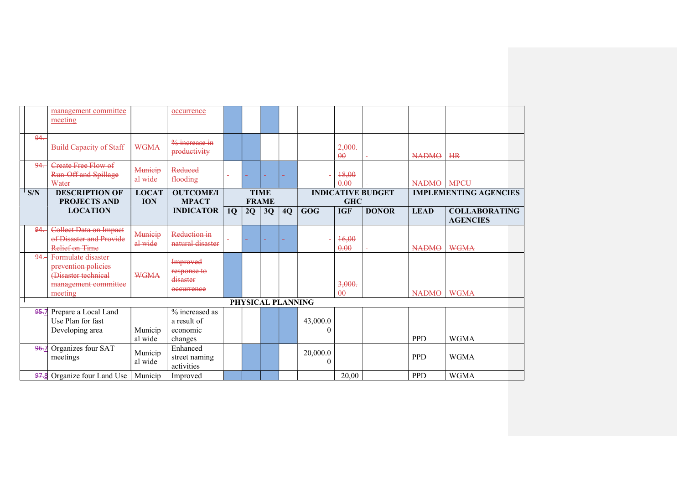|      | management committee<br>meeting                                                                     |                    | occurrence                                           |           |              |             |                   |                      |                          |                          |              |                                         |
|------|-----------------------------------------------------------------------------------------------------|--------------------|------------------------------------------------------|-----------|--------------|-------------|-------------------|----------------------|--------------------------|--------------------------|--------------|-----------------------------------------|
| 94.  | <b>Build Capacity of Staff</b>                                                                      | <b>WGMA</b>        | $%$ increase in<br>productivity                      |           |              | ÷           | ä,                |                      | 2,000.<br>$\theta\theta$ |                          | <b>NADMO</b> | <b>HR</b>                               |
| 94.  | <b>Create Free Flow of</b><br><b>Run Off and Spillage</b><br>Water                                  | Municip<br>al wide | Reduced<br>flooding                                  |           |              | ÷           |                   |                      | 18,00<br>0.00            |                          | <b>NADMO</b> | <b>MPCU</b>                             |
| S/N  | <b>DESCRIPTION OF</b>                                                                               | <b>LOCAT</b>       | <b>OUTCOME/I</b>                                     |           |              | <b>TIME</b> |                   |                      |                          | <b>INDICATIVE BUDGET</b> |              | <b>IMPLEMENTING AGENCIES</b>            |
|      | <b>PROJECTS AND</b>                                                                                 | <b>ION</b>         | <b>MPACT</b>                                         |           | <b>FRAME</b> |             |                   |                      | <b>GHC</b>               |                          |              |                                         |
|      | <b>LOCATION</b>                                                                                     |                    | <b>INDICATOR</b>                                     | <b>1Q</b> | 2Q           | 3Q          | 4Q                | GOG                  | <b>IGF</b>               | <b>DONOR</b>             | <b>LEAD</b>  | <b>COLLABORATING</b><br><b>AGENCIES</b> |
| 94.  | <b>Collect Data on Impact</b><br>of Disaster and Provide<br>Relief on Time                          | Municip<br>al wide | Reduction in<br>natural disaster                     |           | ÷            |             |                   |                      | 16,00<br>0.00            |                          | <b>NADMO</b> | <b>WGMA</b>                             |
| 94.  | Formulate disaster<br>prevention policies<br>(Disaster technical<br>management committee<br>meeting | <b>WGMA</b>        | Improved<br>response to<br>disaster<br>occurrence    |           |              |             |                   |                      | 3,000.<br>$\theta$       |                          | <b>NADMO</b> | <b>WGMA</b>                             |
|      |                                                                                                     |                    |                                                      |           |              |             | PHYSICAL PLANNING |                      |                          |                          |              |                                         |
| 95.7 | Prepare a Local Land<br>Use Plan for fast<br>Developing area                                        | Municip<br>al wide | % increased as<br>a result of<br>economic<br>changes |           |              |             |                   | 43,000.0<br>0        |                          |                          | <b>PPD</b>   | <b>WGMA</b>                             |
| 96.7 | Organizes four SAT<br>meetings                                                                      | Municip<br>al wide | Enhanced<br>street naming<br>activities              |           |              |             |                   | 20,000.0<br>$\theta$ |                          |                          | <b>PPD</b>   | <b>WGMA</b>                             |
| 97.8 | Organize four Land Use                                                                              | Municip            | Improved                                             |           |              |             |                   |                      | 20,00                    |                          | <b>PPD</b>   | <b>WGMA</b>                             |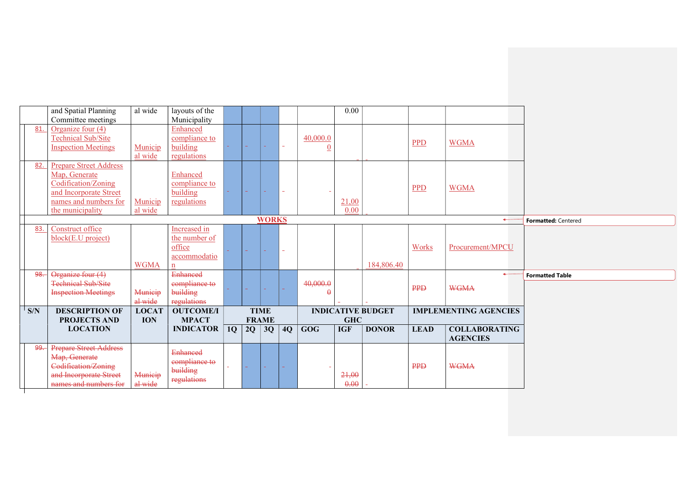|                | and Spatial Planning          | al wide                    | layouts of the                   |               |               |                             |               |          | 0.00       |                          |             |                              |                        |
|----------------|-------------------------------|----------------------------|----------------------------------|---------------|---------------|-----------------------------|---------------|----------|------------|--------------------------|-------------|------------------------------|------------------------|
|                | Committee meetings            |                            | Municipality                     |               |               |                             |               |          |            |                          |             |                              |                        |
| 81.            | Organize four $(4)$           |                            | Enhanced                         |               |               |                             |               |          |            |                          |             |                              |                        |
|                | <b>Technical Sub/Site</b>     |                            | compliance to                    |               |               |                             |               | 40,000.0 |            |                          | <b>PPD</b>  | <b>WGMA</b>                  |                        |
|                | <b>Inspection Meetings</b>    | Municip                    | building                         |               | $\rightarrow$ | car.                        | $\sim$ .      | $\theta$ |            |                          |             |                              |                        |
|                |                               | al wide                    | regulations                      |               |               |                             |               |          |            |                          |             |                              |                        |
| 82.            | <b>Prepare Street Address</b> |                            |                                  |               |               |                             |               |          |            |                          |             |                              |                        |
|                | Map, Generate                 |                            | Enhanced                         |               |               |                             |               |          |            |                          |             |                              |                        |
|                | Codification/Zoning           |                            | compliance to                    |               |               |                             |               |          |            |                          | PPD         | <b>WGMA</b>                  |                        |
|                | and Incorporate Street        |                            | building                         | $\Delta \phi$ | $\sim$        | $\sim$                      | $\Delta \phi$ |          |            |                          |             |                              |                        |
|                | names and numbers for         | Municip                    | regulations                      |               |               |                             |               |          | 21,00      |                          |             |                              |                        |
|                | the municipality              | al wide                    |                                  |               |               |                             |               |          | 0.00       |                          |             |                              |                        |
|                |                               |                            |                                  |               |               | <b>WORKS</b>                |               |          |            |                          |             | ←                            | Formatted: Centered    |
| 83.            | Construct office              |                            | Increased in                     |               |               |                             |               |          |            |                          |             |                              |                        |
|                | block(E.U project)            |                            | the number of                    |               |               |                             |               |          |            |                          |             |                              |                        |
|                |                               |                            | office                           |               | $\sim$ .      | $\sim$                      | $\sim$        |          |            |                          | Works       | Procurement/MPCU             |                        |
|                |                               |                            | accommodatio                     |               |               |                             |               |          |            |                          |             |                              |                        |
|                |                               | <b>WGMA</b>                | $\mathbf{n}$                     |               |               |                             |               |          |            | 184,806.40               |             |                              |                        |
| 98.            | Organize four (4)             |                            | <b>Enhanced</b>                  |               |               |                             |               |          |            |                          |             |                              | <b>Formatted Table</b> |
|                | <b>Technical Sub/Site</b>     |                            | compliance to                    |               | ÷.            | $\sim$                      | $\sim$        | 40,000.0 |            |                          | PPD         | <b>WGMA</b>                  |                        |
|                | <b>Inspection Meetings</b>    | Municip                    | building                         |               |               |                             |               | $\theta$ |            |                          |             |                              |                        |
| $\mathsf{S/N}$ | <b>DESCRIPTION OF</b>         | al wide                    | regulations                      |               |               |                             |               |          |            | <b>INDICATIVE BUDGET</b> |             |                              |                        |
|                | <b>PROJECTS AND</b>           | <b>LOCAT</b><br><b>ION</b> | <b>OUTCOME/I</b><br><b>MPACT</b> |               |               | <b>TIME</b><br><b>FRAME</b> |               |          | <b>GHC</b> |                          |             | <b>IMPLEMENTING AGENCIES</b> |                        |
|                | <b>LOCATION</b>               |                            | <b>INDICATOR</b>                 | $\vert$ 10    | 2Q            | 3Q                          | 4Q            | GOG      | <b>IGF</b> | <b>DONOR</b>             | <b>LEAD</b> | <b>COLLABORATING</b>         |                        |
|                |                               |                            |                                  |               |               |                             |               |          |            |                          |             | <b>AGENCIES</b>              |                        |
| 99.            | <b>Prepare Street Address</b> |                            |                                  |               |               |                             |               |          |            |                          |             |                              |                        |
|                | Map, Generate                 |                            | <b>Enhanced</b>                  |               |               |                             |               |          |            |                          |             |                              |                        |
|                | Codification/Zoning           |                            | compliance to                    |               |               | $\sim$                      |               |          |            |                          | PPD         | <b>WGMA</b>                  |                        |
|                | and Incorporate Street        | Municip                    | building                         |               |               |                             |               |          | 21,00      |                          |             |                              |                        |
|                | names and numbers for         | al wide                    | regulations                      |               |               |                             |               |          | 0.00       |                          |             |                              |                        |
|                |                               |                            |                                  |               |               |                             |               |          |            |                          |             |                              |                        |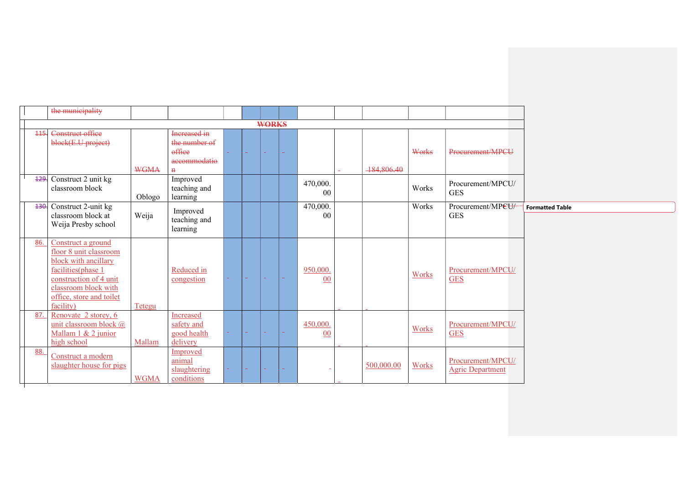|      | the municipality                      |             |                         |    |        |                 |                |                |            |              |                         |                        |
|------|---------------------------------------|-------------|-------------------------|----|--------|-----------------|----------------|----------------|------------|--------------|-------------------------|------------------------|
|      |                                       |             |                         |    |        | <b>WORKS</b>    |                |                |            |              |                         |                        |
| 445. | Construct office                      |             | Increased in            |    |        |                 |                |                |            |              |                         |                        |
|      | block(E.U project)                    |             | the number of           |    |        |                 |                |                |            |              |                         |                        |
|      |                                       |             | office                  |    | ÷.     | $\sim$          | ÷              |                |            | Works        | Procurement/MPCU        |                        |
|      |                                       |             | accommodatio            |    |        |                 |                |                |            |              |                         |                        |
|      |                                       | <b>WGMA</b> | $\overline{\mathbf{H}}$ |    |        |                 |                |                | 184,806.40 |              |                         |                        |
|      | 129. Construct 2 unit kg              |             | Improved                |    |        |                 |                | 470,000.       |            |              | Procurement/MPCU/       |                        |
|      | classroom block                       |             | teaching and            |    |        |                 |                | 0 <sub>0</sub> |            | Works        | <b>GES</b>              |                        |
|      | 430. Construct 2-unit kg              | Oblogo      | learning                |    |        |                 |                | 470,000.       |            | Works        | Procurement/MPCU/       | <b>Formatted Table</b> |
|      | classroom block at                    | Weija       | Improved                |    |        |                 |                | 00             |            |              | <b>GES</b>              |                        |
|      | Weija Presby school                   |             | teaching and            |    |        |                 |                |                |            |              |                         |                        |
|      |                                       |             | learning                |    |        |                 |                |                |            |              |                         |                        |
| 86.  | Construct a ground                    |             |                         |    |        |                 |                |                |            |              |                         |                        |
|      | floor 8 unit classroom                |             |                         |    |        |                 |                |                |            |              |                         |                        |
|      | block with ancillary                  |             |                         |    |        |                 |                |                |            |              |                         |                        |
|      | facilities(phase 1                    |             | Reduced in              |    |        |                 |                | 950,000.       |            | Works        | Procurement/MPCU/       |                        |
|      | construction of 4 unit                |             | congestion              |    | $\sim$ | <b>Contract</b> | <b>Section</b> | 00             |            |              | <b>GES</b>              |                        |
|      | classroom block with                  |             |                         |    |        |                 |                |                |            |              |                         |                        |
|      | office, store and toilet<br>facility) | Tetegu      |                         |    |        |                 |                |                |            |              |                         |                        |
| 87.  | Renovate 2 storey, 6                  |             | Increased               |    |        |                 |                |                |            |              |                         |                        |
|      | unit classroom block @                |             | safety and              |    |        |                 |                | 450,000.       |            |              | Procurement/MPCU/       |                        |
|      | Mallam 1 & 2 junior                   |             | good health             | a. | $\sim$ | car i           | $\sim$         | 00             |            | Works        | <b>GES</b>              |                        |
|      | high school                           | Mallam      | delivery                |    |        |                 |                |                |            |              |                         |                        |
| 88.  | Construct a modern                    |             | Improved                |    |        |                 |                |                |            |              |                         |                        |
|      | slaughter house for pigs              |             | animal                  |    |        |                 |                |                | 500,000.00 | <b>Works</b> | Procurement/MPCU/       |                        |
|      |                                       |             | slaughtering            |    |        | $\sim$ .        | ÷              |                |            |              | <b>Agric Department</b> |                        |
|      |                                       | <b>WGMA</b> | conditions              |    |        |                 |                |                |            |              |                         |                        |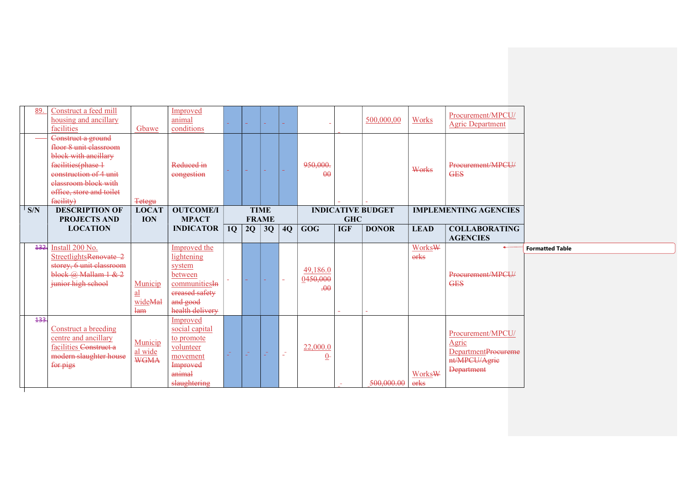| 89.            | Construct a feed mill<br>housing and ancillary<br>facilities                                                                                                                          | Gbawe                                                        | Improved<br>animal<br>conditions                                                                                  |    |          |                             |                 |                             |            | 500,000,00               | Works          | Procurement/MPCU/<br><b>Agric Department</b> |                        |
|----------------|---------------------------------------------------------------------------------------------------------------------------------------------------------------------------------------|--------------------------------------------------------------|-------------------------------------------------------------------------------------------------------------------|----|----------|-----------------------------|-----------------|-----------------------------|------------|--------------------------|----------------|----------------------------------------------|------------------------|
|                | Construct a ground<br>floor 8 unit classroom<br>block with ancillary<br>facilities(phase 1<br>construction of 4 unit<br>elassroom block with<br>office, store and toilet<br>facility) | <b>Tetegu</b>                                                | Reduced in<br>congestion                                                                                          |    | a.       | <b>Section</b>              | $\sim$          | 950,000.<br>$\theta$        |            |                          | Works          | Procurement/MPCU/<br><b>GES</b>              |                        |
| $\mathsf{S/N}$ | <b>DESCRIPTION OF</b><br><b>PROJECTS AND</b>                                                                                                                                          | <b>LOCAT</b><br><b>ION</b>                                   | <b>OUTCOME/I</b><br><b>MPACT</b>                                                                                  |    |          | <b>TIME</b><br><b>FRAME</b> |                 |                             | <b>GHC</b> | <b>INDICATIVE BUDGET</b> |                | <b>IMPLEMENTING AGENCIES</b>                 |                        |
|                | <b>LOCATION</b>                                                                                                                                                                       |                                                              | <b>INDICATOR</b>                                                                                                  | 1Q | 2Q       | 3Q                          | $\overline{4Q}$ | GOG                         | <b>IGF</b> | <b>DONOR</b>             | <b>LEAD</b>    | <b>COLLABORATING</b><br><b>AGENCIES</b>      |                        |
| 132.           | Install 200 No.                                                                                                                                                                       |                                                              |                                                                                                                   |    |          |                             |                 |                             |            |                          |                |                                              |                        |
|                | StreetlightsRenovate 2<br>storey, 6 unit classroom<br>block $\omega$ Mallam 1 & 2<br>junior high school                                                                               | Municip<br>$\underline{\mathbf{a}}$<br>wideMal<br><b>lam</b> | Improved the<br>lightening<br>system<br>between<br>communitiesIn<br>ereased safety<br>and good<br>health delivery | a. | $\sim$ . | $\sim$                      | $\sim$          | 49,186.0<br>0450,000<br>.00 | ÷          |                          | Works\<br>orks | Procurement/MPCU/<br><b>GES</b>              | <b>Formatted Table</b> |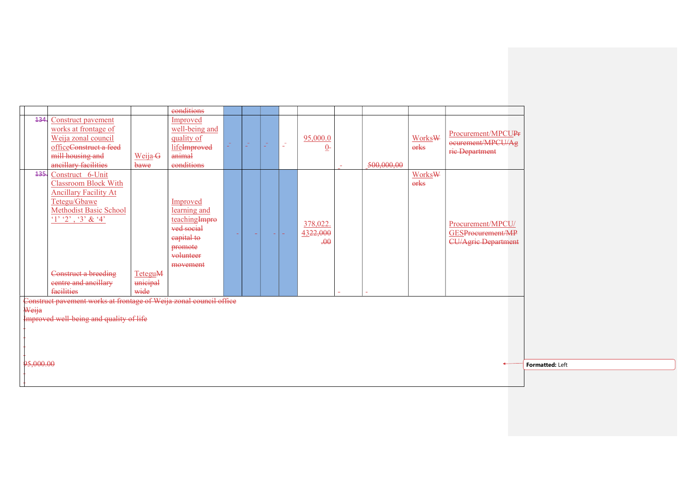|           |                                                                    |          | eonditions     |   |                |          |    |                   |            |        |                                |                 |
|-----------|--------------------------------------------------------------------|----------|----------------|---|----------------|----------|----|-------------------|------------|--------|--------------------------------|-----------------|
| 434.      |                                                                    |          |                |   |                |          |    |                   |            |        |                                |                 |
|           | Construct pavement                                                 |          | Improved       |   |                |          |    |                   |            |        |                                |                 |
|           | works at frontage of                                               |          | well-being and |   |                |          |    |                   |            |        | Procurement/MPCUP <sub>F</sub> |                 |
|           | Weija zonal council                                                |          | quality of     | 5 | <b>College</b> | $\sim$   | Z, | 95,000.0          |            | WorksW | ocurement/MPCU/Ag              |                 |
|           | officeConstruct a feed                                             |          | lifeImproved   |   | $\sim$ .       | $\sim$ . |    | $\underline{0}$ - |            | orks   | rie Department                 |                 |
|           | mill housing and                                                   | Weija-G  | animal         |   |                |          |    |                   |            |        |                                |                 |
|           | ancillary facilities                                               | bawe     | eonditions     |   |                |          |    |                   | 500,000,00 |        |                                |                 |
| 435.      | Construct 6-Unit                                                   |          |                |   |                |          |    |                   |            | WorksW |                                |                 |
|           | <b>Classroom Block With</b>                                        |          |                |   |                |          |    |                   |            | orks   |                                |                 |
|           | <b>Ancillary Facility At</b>                                       |          |                |   |                |          |    |                   |            |        |                                |                 |
|           | Tetegu/Gbawe                                                       |          | Improved       |   |                |          |    |                   |            |        |                                |                 |
|           | Methodist Basic School                                             |          | learning and   |   |                |          |    |                   |            |        |                                |                 |
|           | $1'$ $2'$ , $3'$ & $4'$                                            |          | teachingImpro  |   |                |          |    |                   |            |        |                                |                 |
|           |                                                                    |          | ved social     |   |                |          |    | 378,022.          |            |        | Procurement/MPCU/              |                 |
|           |                                                                    |          | capital to     |   | ÷              |          | a. | 4322,000          |            |        | GESProcurement/MP              |                 |
|           |                                                                    |          | promote        |   |                |          |    | .00               |            |        | <b>CU/Agric Department</b>     |                 |
|           |                                                                    |          | volunteer      |   |                |          |    |                   |            |        |                                |                 |
|           |                                                                    |          | movement       |   |                |          |    |                   |            |        |                                |                 |
|           | Construct a breeding                                               | TeteguM  |                |   |                |          |    |                   |            |        |                                |                 |
|           | eentre and ancillary                                               | unicipal |                |   |                |          |    |                   |            |        |                                |                 |
|           | facilities                                                         | wide     |                |   |                |          |    |                   |            |        |                                |                 |
|           |                                                                    |          |                |   |                |          |    |                   |            |        |                                |                 |
|           | Construct pavement works at frontage of Weija zonal council office |          |                |   |                |          |    |                   |            |        |                                |                 |
| Weija     |                                                                    |          |                |   |                |          |    |                   |            |        |                                |                 |
|           | Improved well being and quality of life                            |          |                |   |                |          |    |                   |            |        |                                |                 |
|           |                                                                    |          |                |   |                |          |    |                   |            |        |                                |                 |
|           |                                                                    |          |                |   |                |          |    |                   |            |        |                                |                 |
|           |                                                                    |          |                |   |                |          |    |                   |            |        |                                |                 |
|           |                                                                    |          |                |   |                |          |    |                   |            |        |                                |                 |
| 95,000.00 |                                                                    |          |                |   |                |          |    |                   |            |        |                                | Formatted: Left |
|           |                                                                    |          |                |   |                |          |    |                   |            |        |                                |                 |
|           |                                                                    |          |                |   |                |          |    |                   |            |        |                                |                 |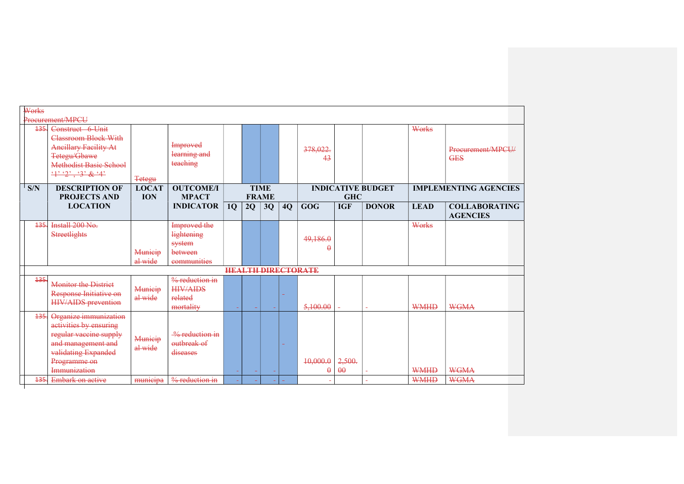| Works |                                                                                                                                                                    |                            |                                                                       |           |              |             |        |                           |                    |                          |             |                                         |
|-------|--------------------------------------------------------------------------------------------------------------------------------------------------------------------|----------------------------|-----------------------------------------------------------------------|-----------|--------------|-------------|--------|---------------------------|--------------------|--------------------------|-------------|-----------------------------------------|
| 435   | Procurement/MPCU<br>Construct 6 Unit<br><b>Classroom Block With</b><br><b>Ancillary Facility At</b><br>Tetegu/Gbawe<br><b>Methodist Basic School</b><br>4.2, 3.8.4 | <b>Tetegu</b>              | <b>Improved</b><br>learning and<br>teaching                           |           |              |             |        | 378,022.<br>43            |                    |                          | Works       | Procurement/MPCU/<br><b>GES</b>         |
| S/N   | <b>DESCRIPTION OF</b><br><b>PROJECTS AND</b>                                                                                                                       | <b>LOCAT</b><br><b>ION</b> | <b>OUTCOME/I</b><br><b>MPACT</b>                                      |           | <b>FRAME</b> | <b>TIME</b> |        |                           | <b>GHC</b>         | <b>INDICATIVE BUDGET</b> |             | <b>IMPLEMENTING AGENCIES</b>            |
|       | <b>LOCATION</b>                                                                                                                                                    |                            | <b>INDICATOR</b>                                                      | <b>10</b> | 2Q           | 3Q          | 4Q     | <b>GOG</b>                | <b>IGF</b>         | <b>DONOR</b>             | <b>LEAD</b> | <b>COLLABORATING</b><br><b>AGENCIES</b> |
| 135   | Install 200 No.<br><b>Streetlights</b>                                                                                                                             | Municip<br>al wide         | Improved the<br><b>lightening</b><br>system<br>between<br>communities |           |              |             |        | 49,186.0<br>Ĥ             |                    |                          | Works       |                                         |
|       |                                                                                                                                                                    |                            |                                                                       |           |              |             |        | <b>HEALTH DIRECTORATE</b> |                    |                          |             |                                         |
| 135   | <b>Monitor the District</b><br>Response Initiative on<br><b>HIV/AIDS</b> prevention                                                                                | Municip<br>al wide         | $%$ reduction in<br><b>HIV/AIDS</b><br>related<br>mortality           |           |              |             | $\sim$ | 5,100.00                  |                    |                          | <b>WMHD</b> | <b>WGMA</b>                             |
| 135   | Organize immunization<br>activities by ensuring<br>regular vaccine supply<br>and management and<br>validating Expanded<br>Programme on<br>Immunization             | Municip<br>al wide         | $\frac{9}{6}$ reduction in<br>outbreak of<br>diseases                 |           |              |             | $\sim$ | 10,000.0<br>θ             | 2,500.<br>$\theta$ |                          | <b>WMHD</b> | <b>WGMA</b>                             |
| 135   | <b>Embark on active</b>                                                                                                                                            | municipa                   | $%$ reduction in                                                      |           |              |             |        |                           |                    |                          | <b>WMHD</b> | <b>WGMA</b>                             |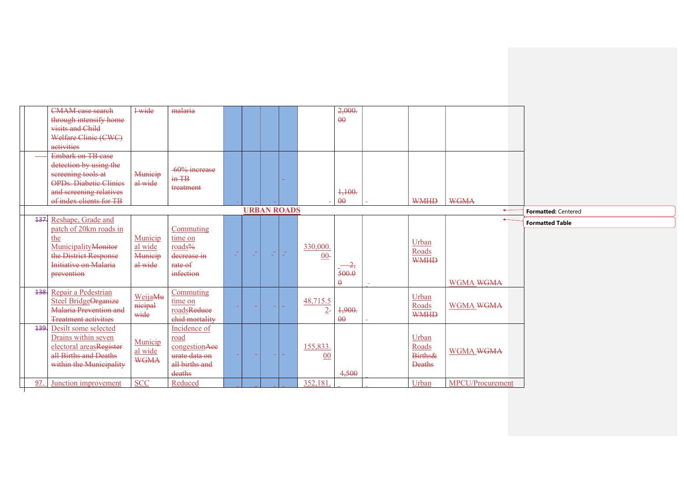|     | <b>CMAM</b> case search                          | 1-wide      | malaria                              |                |            |      |                    |          | 2,000.          |                  |                  |                        |
|-----|--------------------------------------------------|-------------|--------------------------------------|----------------|------------|------|--------------------|----------|-----------------|------------------|------------------|------------------------|
|     | through intensify home                           |             |                                      |                |            |      |                    |          | $\theta$        |                  |                  |                        |
|     | visits and Child                                 |             |                                      |                |            |      |                    |          |                 |                  |                  |                        |
|     | Welfare Clinic (CWC)                             |             |                                      |                |            |      |                    |          |                 |                  |                  |                        |
|     | activities                                       |             |                                      |                |            |      |                    |          |                 |                  |                  |                        |
|     | Embark on TB case                                |             |                                      |                |            |      |                    |          |                 |                  |                  |                        |
|     | detection by using the                           |             |                                      |                |            |      |                    |          |                 |                  |                  |                        |
|     | screening tools at                               | Municip     | -60% increase<br>$\frac{1}{2}$ in TB |                |            |      |                    |          |                 |                  |                  |                        |
|     | OPDs. Diabetic Clinics                           | al wide     |                                      |                |            |      |                    |          |                 |                  |                  |                        |
|     | and screening relatives                          |             | treatment                            |                |            |      |                    |          | 1,100.          |                  |                  |                        |
|     | of index clients for TB                          |             |                                      |                |            |      |                    |          | $\theta\theta$  | <b>WMHD</b>      | <b>WGMA</b>      |                        |
|     |                                                  |             |                                      |                |            |      | <b>URBAN ROADS</b> |          |                 |                  | $\leftarrow$     | Formatted: Centered    |
|     | 137. Reshape, Grade and                          |             |                                      |                |            |      |                    |          |                 |                  |                  | <b>Formatted Table</b> |
|     | patch of 20km roads in                           |             | Commuting                            |                |            |      |                    |          |                 |                  |                  |                        |
|     | the                                              | Municip     | time on                              |                |            |      |                    |          |                 | Urban            |                  |                        |
|     | MunicipalityMonitor                              | al wide     | roads%                               |                | $\sim$ $-$ |      | $\mathbb{Z}^2$     | 330,000. |                 | Roads            |                  |                        |
|     | the District Response                            | Municip     | decrease in                          | $\mathbb{Z}^n$ | Card       | - El |                    | $00-$    |                 | <b>WMHD</b>      |                  |                        |
|     | Initiative on Malaria                            | al wide     | rate of                              |                |            |      |                    |          | $\frac{2}{2}$   |                  |                  |                        |
|     | prevention                                       |             | infection                            |                |            |      |                    |          | 500.0           |                  |                  |                        |
|     |                                                  |             |                                      |                |            |      |                    |          | $\mathbf{\rho}$ |                  | WGMA WGMA        |                        |
|     | 138. Repair a Pedestrian                         | WeijaMu     | Commuting                            |                |            |      |                    |          |                 | Urban            |                  |                        |
|     | Steel BridgeOrganize                             | nicipal     | time on                              |                |            |      |                    | 48,715.5 |                 | Roads            | WGMA WGMA        |                        |
|     | <b>Malaria Prevention and</b>                    | wide        | roadsReduce                          |                |            |      |                    | $2-$     | 1,900.          | <b>WMHD</b>      |                  |                        |
|     | <b>Treatment activities</b>                      |             | chid mortality                       |                |            |      |                    |          | $\theta\theta$  |                  |                  |                        |
|     | 139. Desilt some selected                        |             | Incidence of                         |                |            |      |                    |          |                 |                  |                  |                        |
|     | Drains within seven                              | Municip     | road                                 |                |            |      |                    |          |                 | Urban            |                  |                        |
|     | electoral areasRegister<br>all Births and Deaths | al wide     | congestionAee                        |                |            |      |                    | 155,833. |                 | Roads<br>Births& | WGMA WGMA        |                        |
|     |                                                  | <b>WGMA</b> | urate data on                        |                |            |      |                    | 00       |                 |                  |                  |                        |
|     | within the Municipality                          |             | all births and                       |                |            |      |                    |          |                 | <b>Deaths</b>    |                  |                        |
|     |                                                  |             | deaths                               |                |            |      |                    |          | 4,500           |                  |                  |                        |
| 97. | Junction improvement                             | <b>SCC</b>  | Reduced                              |                |            |      |                    | 352,181  |                 | Urban            | MPCU/Procurement |                        |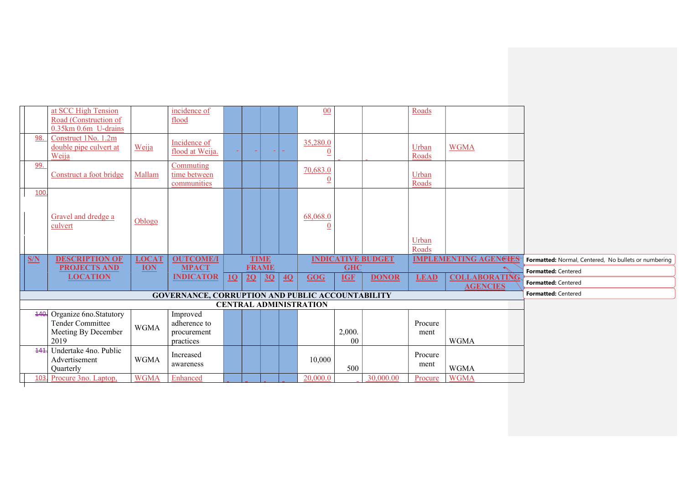|      | at SCC High Tension                           |              | incidence of                                            |    |    |              |    | 00                            |            |                          | Roads          |                              |                                                      |
|------|-----------------------------------------------|--------------|---------------------------------------------------------|----|----|--------------|----|-------------------------------|------------|--------------------------|----------------|------------------------------|------------------------------------------------------|
|      | Road (Construction of                         |              | flood                                                   |    |    |              |    |                               |            |                          |                |                              |                                                      |
|      | 0.35km 0.6m U-drains                          |              |                                                         |    |    |              |    |                               |            |                          |                |                              |                                                      |
| 98.  | Construct 1No. 1.2m<br>double pipe culvert at | Weija        | Incidence of                                            |    |    |              |    | 35,280.0                      |            |                          | Urban          | <b>WGMA</b>                  |                                                      |
|      | Weija                                         |              | flood at Weija.                                         |    |    |              |    | $\boldsymbol{0}$              |            |                          | Roads          |                              |                                                      |
| 99.  |                                               |              | Commuting                                               |    |    |              |    | 70,683.0                      |            |                          |                |                              |                                                      |
|      | Construct a foot bridge                       | Mallam       | time between                                            |    |    |              |    | $\overline{0}$                |            |                          | Urban          |                              |                                                      |
| 100  |                                               |              | communities                                             |    |    |              |    |                               |            |                          | Roads          |                              |                                                      |
|      |                                               |              |                                                         |    |    |              |    |                               |            |                          |                |                              |                                                      |
|      | Gravel and dredge a                           |              |                                                         |    |    |              |    | 68,068.0                      |            |                          |                |                              |                                                      |
|      | culvert                                       | Oblogo       |                                                         |    |    |              |    | $\theta$                      |            |                          |                |                              |                                                      |
|      |                                               |              |                                                         |    |    |              |    |                               |            |                          |                |                              |                                                      |
|      |                                               |              |                                                         |    |    |              |    |                               |            |                          | Urban<br>Roads |                              |                                                      |
| S/N  | <b>DESCRIPTION OF</b>                         | <b>LOCAT</b> | <b>OUTCOME/I</b>                                        |    |    | <b>TIME</b>  |    |                               |            | <b>INDICATIVE BUDGET</b> |                | <b>IMPLEMENTING AGENGIES</b> | Formatted: Normal, Centered, No bullets or numbering |
|      | <b>PROJECTS AND</b>                           | <b>ION</b>   | <b>MPACT</b>                                            |    |    | <b>FRAME</b> |    |                               | <b>GHC</b> |                          |                |                              | Formatted: Centered                                  |
|      | <b>LOCATION</b>                               |              | <b>INDICATOR</b>                                        | 10 | 2Q | 3Q           | 4Q | GOG                           | <b>IGF</b> | <b>DONOR</b>             | <b>LEAD</b>    | <b>COLLABORATING</b>         | Formatted: Centered                                  |
|      |                                               |              | <b>GOVERNANCE, CORRUPTION AND PUBLIC ACCOUNTABILITY</b> |    |    |              |    |                               |            |                          |                | <b>AGENCIES</b>              | Formatted: Centered                                  |
|      |                                               |              |                                                         |    |    |              |    | <b>CENTRAL ADMINISTRATION</b> |            |                          |                |                              |                                                      |
|      | 440 Organize 6no. Statutory                   |              | Improved                                                |    |    |              |    |                               |            |                          |                |                              |                                                      |
|      | Tender Committee                              | <b>WGMA</b>  | adherence to                                            |    |    |              |    |                               |            |                          | Procure        |                              |                                                      |
|      | Meeting By December                           |              | procurement                                             |    |    |              |    |                               | 2,000.     |                          | ment           |                              |                                                      |
|      | 2019                                          |              | practices                                               |    |    |              |    |                               | $00\,$     |                          |                | <b>WGMA</b>                  |                                                      |
|      | 444. Undertake 4no. Public<br>Advertisement   | <b>WGMA</b>  | Increased                                               |    |    |              |    | 10,000                        |            |                          | Procure        |                              |                                                      |
|      | Quarterly                                     |              | awareness                                               |    |    |              |    |                               | 500        |                          | ment           | <b>WGMA</b>                  |                                                      |
| 103. | Procure 3no. Laptop,                          | <b>WGMA</b>  | Enhanced                                                |    |    |              |    | 20,000.0                      |            | 30,000.00                | Procure        | <b>WGMA</b>                  |                                                      |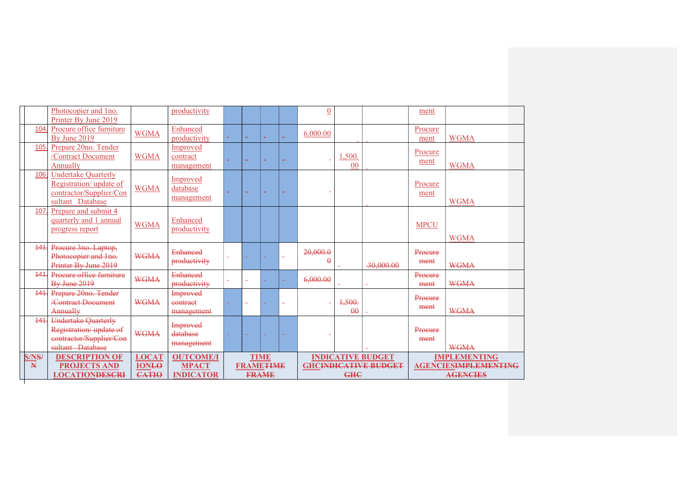|                       | Photocopier and 1no.<br>Printer By June 2019                                                         |                                              | productivity                                         |                          |                                 |              |        | $\overline{0}$       |                          |                                                         | ment            |                                                                       |
|-----------------------|------------------------------------------------------------------------------------------------------|----------------------------------------------|------------------------------------------------------|--------------------------|---------------------------------|--------------|--------|----------------------|--------------------------|---------------------------------------------------------|-----------------|-----------------------------------------------------------------------|
| 104                   | Procure office furniture<br>By June 2019                                                             | <b>WGMA</b>                                  | Enhanced<br>productivity                             |                          | ÷                               |              | ÷.     | 6,000.00             |                          |                                                         | Procure<br>ment | <b>WGMA</b>                                                           |
| 105                   | Prepare 20no. Tender<br>/Contract Document<br>Annually                                               | <b>WGMA</b>                                  | Improved<br>contract<br>management                   |                          | ÷                               | ÷            | ۰      |                      | ,500.<br>0 <sup>0</sup>  |                                                         | Procure<br>ment | <b>WGMA</b>                                                           |
| 106                   | <b>Undertake Quarterly</b><br>Registration/ update of<br>contractor/Supplier/Con<br>sultant Database | <b>WGMA</b>                                  | Improved<br>database<br>management                   | ÷.                       | ÷.                              | ÷.           | m.     |                      |                          |                                                         | Procure<br>ment | <b>WGMA</b>                                                           |
| 107                   | Prepare and submit 4<br>quarterly and 1 annual<br>progress report                                    | <b>WGMA</b>                                  | Enhanced<br>productivity                             |                          |                                 |              |        |                      |                          |                                                         | <b>MPCU</b>     | <b>WGMA</b>                                                           |
| 141                   | Procure 3no. Laptop,<br>Photocopier and 1no.<br>Printer By June 2019                                 | <b>WGMA</b>                                  | Enhanced<br>productivity                             | $\overline{\phantom{a}}$ |                                 |              | ۰      | 20,000.0<br>$\theta$ | $\equiv$                 | $-30,000,00$                                            | Procure<br>ment | <b>WGMA</b>                                                           |
| 141                   | Procure office furniture<br><b>By June 2019</b>                                                      | <b>WGMA</b>                                  | <b>Enhanced</b><br>productivity                      | $\equiv$                 |                                 |              |        | 6,000.00             |                          | ÷.                                                      | Procure<br>ment | <b>WGMA</b>                                                           |
| 141                   | Prepare 20no. Tender<br><b>/Contract Document</b><br><b>Annually</b>                                 | <b>WGMA</b>                                  | Improved<br>eontract<br>management                   |                          |                                 |              | $\sim$ |                      | 1,500.<br>$\theta\theta$ |                                                         | Procure<br>ment | <b>WGMA</b>                                                           |
| 141.                  | <b>Undertake Quarterly</b><br>Registration/update of<br>contractor/Supplier/Con<br>sultant Database  | <b>WGMA</b>                                  | Improved<br>database<br>management                   | ÷.                       | ÷                               | ٠            | ÷      |                      |                          |                                                         | Procure<br>ment | <b>WGMA</b>                                                           |
| S/NS/<br>$\mathbb{N}$ | <b>DESCRIPTION OF</b><br><b>PROJECTS AND</b><br><b>LOCATIONDESCRI</b>                                | <b>LOCAT</b><br><b>IONLO</b><br><b>CATIO</b> | <b>OUTCOME/I</b><br><b>MPACT</b><br><b>INDICATOR</b> |                          | <b>TIME</b><br><b>FRAMETIME</b> | <b>FRAME</b> |        |                      | <b>GHC</b>               | <b>INDICATIVE BUDGET</b><br><b>GHCINDICATIVE BUDGET</b> |                 | <b>IMPLEMENTING</b><br><b>AGENCIESIMPLEMENTING</b><br><b>AGENCIES</b> |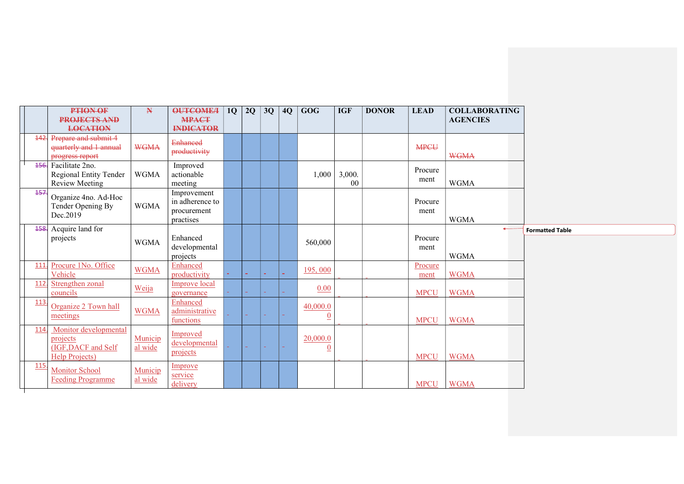|      | <b>PTION OF</b>                                | $\mathbf{N}$ | <b>OUTCOME/I</b>            | 1Q | 2Q | 3Q | 4Q | <b>GOG</b>   | <b>IGF</b>     | <b>DONOR</b> | <b>LEAD</b> | <b>COLLABORATING</b> |
|------|------------------------------------------------|--------------|-----------------------------|----|----|----|----|--------------|----------------|--------------|-------------|----------------------|
|      | <b>PROJECTS AND</b>                            |              | <b>MPACT</b>                |    |    |    |    |              |                |              |             | <b>AGENCIES</b>      |
|      | <b>LOCATION</b>                                |              | <b>INDICATOR</b>            |    |    |    |    |              |                |              |             |                      |
|      | 142. Prepare and submit 4                      |              | <b>Enhanced</b>             |    |    |    |    |              |                |              |             |                      |
|      | quarterly and 1 annual                         | <b>WGMA</b>  | productivity                |    |    |    |    |              |                |              | <b>MPCU</b> |                      |
|      | progress report                                |              |                             |    |    |    |    |              |                |              |             | <b>WGMA</b>          |
|      | 456. Facilitate 2no.<br>Regional Entity Tender | <b>WGMA</b>  | Improved<br>actionable      |    |    |    |    | 1,000        | 3,000.         |              | Procure     |                      |
|      | Review Meeting                                 |              | meeting                     |    |    |    |    |              | 0 <sup>0</sup> |              | ment        | <b>WGMA</b>          |
| 457. |                                                |              | Improvement                 |    |    |    |    |              |                |              |             |                      |
|      | Organize 4no. Ad-Hoc                           |              | in adherence to             |    |    |    |    |              |                |              | Procure     |                      |
|      | Tender Opening By<br>Dec.2019                  | WGMA         | procurement                 |    |    |    |    |              |                |              | ment        |                      |
|      |                                                |              | practises                   |    |    |    |    |              |                |              |             | <b>WGMA</b>          |
|      | 458. Acquire land for                          |              |                             |    |    |    |    |              |                |              |             |                      |
|      | projects                                       | <b>WGMA</b>  | Enhanced                    |    |    |    |    | 560,000      |                |              | Procure     |                      |
|      |                                                |              | developmental<br>projects   |    |    |    |    |              |                |              | ment        | <b>WGMA</b>          |
| 111. | Procure 1No. Office                            |              | Enhanced                    |    |    |    |    |              |                |              | Procure     |                      |
|      | Vehicle                                        | <b>WGMA</b>  | productivity                |    |    |    |    | 195,000      |                |              | ment        | <b>WGMA</b>          |
| 112  | Strengthen zonal                               | Weija        | Improve local               |    |    |    |    | 0.00         |                |              |             |                      |
|      | councils                                       |              | governance                  |    |    |    |    |              |                |              | <b>MPCU</b> | <b>WGMA</b>          |
| 113  | Organize 2 Town hall                           |              | Enhanced                    |    |    |    |    | 40,000.0     |                |              |             |                      |
|      | meetings                                       | <b>WGMA</b>  | administrative<br>functions |    |    |    |    | $\theta$     |                |              | <b>MPCU</b> | <b>WGMA</b>          |
| 114. | Monitor developmental                          |              |                             |    |    |    |    |              |                |              |             |                      |
|      | projects                                       | Municip      | Improved                    |    |    |    |    | 20,000.0     |                |              |             |                      |
|      | (IGF, DACF and Self                            | al wide      | developmental               |    |    |    |    | $\mathbf{0}$ |                |              |             |                      |
|      | <b>Help Projects</b> )                         |              | projects                    |    |    |    |    |              |                |              | <b>MPCU</b> | <b>WGMA</b>          |
| 115  | <b>Monitor School</b>                          | Municip      | Improve                     |    |    |    |    |              |                |              |             |                      |
|      | <b>Feeding Programme</b>                       | al wide      | service                     |    |    |    |    |              |                |              |             |                      |
|      |                                                |              | delivery                    |    |    |    |    |              |                |              | <b>MPCU</b> | <b>WGMA</b>          |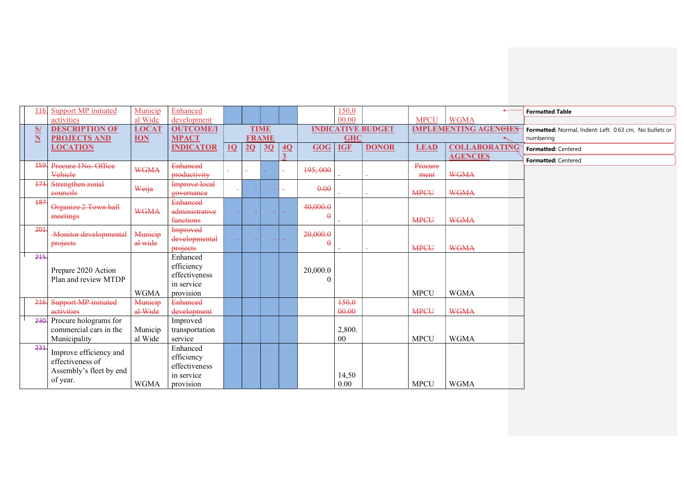| 116.                    | <b>Support MP</b> initiated  | Municip      | Enhanced             |        |    |              |                 |            | 150,0      |                          |             |                              | <b>Formatted Table</b>                                  |
|-------------------------|------------------------------|--------------|----------------------|--------|----|--------------|-----------------|------------|------------|--------------------------|-------------|------------------------------|---------------------------------------------------------|
|                         | activities                   | al Wide      | development          |        |    |              |                 |            | 00.00      |                          | <b>MPCU</b> | <b>WGMA</b>                  |                                                         |
| S/                      | <b>DESCRIPTION OF</b>        | <b>LOCAT</b> | <b>OUTCOME/I</b>     |        |    | <b>TIME</b>  |                 |            |            | <b>INDICATIVE BUDGET</b> |             | <b>IMPLEMENTING AGENGIES</b> | Formatted: Normal, Indent: Left: 0.63 cm, No bullets or |
| $\overline{\mathbf{N}}$ | <b>PROJECTS AND</b>          | <b>ION</b>   | <b>MPACT</b>         |        |    | <b>FRAME</b> |                 |            | <b>GHC</b> |                          |             |                              | numbering                                               |
|                         | <b>LOCATION</b>              |              | <b>INDICATOR</b>     | 10     | 2Q | 3Q           | $\overline{4Q}$ | <b>GOG</b> | <b>IGF</b> | <b>DONOR</b>             | <b>LEAD</b> | <b>COLLABORATING</b>         | Formatted: Centered                                     |
|                         |                              |              |                      |        |    |              |                 |            |            |                          |             | <b>AGENCIES</b>              | Formatted: Centered                                     |
| 159.                    | Procure 1No. Office          | <b>WGMA</b>  | <b>Enhanced</b>      |        |    |              |                 | 195,000    |            |                          | Procure     |                              |                                                         |
|                         | Vehiele                      |              | productivity         |        |    |              |                 |            |            |                          | ment        | <b>WGMA</b>                  |                                                         |
| 473.                    | Strengthen zonal             | Weija        | <b>Improve local</b> | $\sim$ |    |              |                 | 0.00       |            |                          |             |                              |                                                         |
|                         | eouncils                     |              | governance           |        |    |              |                 |            |            |                          | <b>MPCU</b> | <b>WGMA</b>                  |                                                         |
| 187                     | Organize 2 Town hall         |              | <b>Enhanced</b>      |        |    |              |                 | 40,000.0   |            |                          |             |                              |                                                         |
|                         | meetings                     | <b>WGMA</b>  | administrative       |        |    |              |                 | $\theta$   |            |                          |             |                              |                                                         |
|                         |                              |              | functions            |        |    |              |                 |            |            |                          | <b>MPCU</b> | <b>WGMA</b>                  |                                                         |
| 201                     | <b>Monitor developmental</b> | Municip      | Improved             |        |    |              |                 | 20,000.0   |            |                          |             |                              |                                                         |
|                         | projects                     | al wide      | developmental        |        |    |              |                 | $\theta$   |            |                          |             |                              |                                                         |
|                         |                              |              | projects             |        |    |              |                 |            |            |                          | <b>MPCU</b> | <b>WGMA</b>                  |                                                         |
| 215                     |                              |              | Enhanced             |        |    |              |                 |            |            |                          |             |                              |                                                         |
|                         | Prepare 2020 Action          |              | efficiency           |        |    |              |                 | 20,000.0   |            |                          |             |                              |                                                         |
|                         | Plan and review MTDP         |              | effectiveness        |        |    |              |                 | $\Omega$   |            |                          |             |                              |                                                         |
|                         |                              |              | in service           |        |    |              |                 |            |            |                          |             |                              |                                                         |
|                         |                              | <b>WGMA</b>  | provision            |        |    |              |                 |            |            |                          | <b>MPCU</b> | <b>WGMA</b>                  |                                                         |
| 216.                    | Support MP initiated         | Municip      | <b>Enhanced</b>      |        |    |              |                 |            | 150,0      |                          |             |                              |                                                         |
|                         | activities                   | al Wide      | development          |        |    |              |                 |            | 00.00      |                          | <b>MPCU</b> | <b>WGMA</b>                  |                                                         |
| 230.                    | Procure holograms for        |              | Improved             |        |    |              |                 |            |            |                          |             |                              |                                                         |
|                         | commercial cars in the       | Municip      | transportation       |        |    |              |                 |            | 2,800.     |                          |             |                              |                                                         |
|                         | Municipality                 | al Wide      | service              |        |    |              |                 |            | $00\,$     |                          | <b>MPCU</b> | <b>WGMA</b>                  |                                                         |
| 231                     | Improve efficiency and       |              | Enhanced             |        |    |              |                 |            |            |                          |             |                              |                                                         |
|                         | effectiveness of             |              | efficiency           |        |    |              |                 |            |            |                          |             |                              |                                                         |
|                         | Assembly's fleet by end      |              | effectiveness        |        |    |              |                 |            |            |                          |             |                              |                                                         |
|                         | of year.                     |              | in service           |        |    |              |                 |            | 14,50      |                          |             |                              |                                                         |
|                         |                              | <b>WGMA</b>  | provision            |        |    |              |                 |            | 0.00       |                          | <b>MPCU</b> | <b>WGMA</b>                  |                                                         |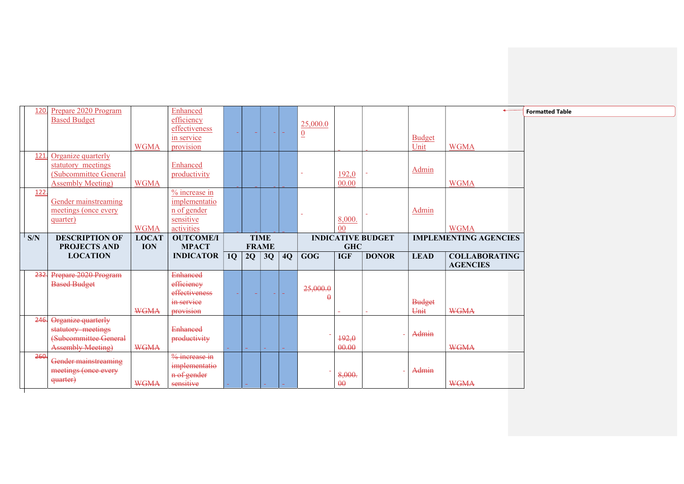| 120. | Prepare 2020 Program      |              | Enhanced                  |                |    |                |    |                |                |                          |               |                              |
|------|---------------------------|--------------|---------------------------|----------------|----|----------------|----|----------------|----------------|--------------------------|---------------|------------------------------|
|      | <b>Based Budget</b>       |              | efficiency                |                |    |                |    |                |                |                          |               |                              |
|      |                           |              | effectiveness             |                |    |                |    | 25,000.0       |                |                          |               |                              |
|      |                           |              |                           |                |    |                |    | $\overline{0}$ |                |                          |               |                              |
|      |                           |              | in service                |                |    |                |    |                |                |                          | <b>Budget</b> |                              |
|      |                           | <b>WGMA</b>  | provision                 |                |    |                |    |                |                |                          | Unit          | <b>WGMA</b>                  |
| 121  | Organize quarterly        |              |                           |                |    |                |    |                |                |                          |               |                              |
|      | statutory meetings        |              | Enhanced                  |                |    |                |    |                |                |                          |               |                              |
|      | (Subcommittee General     |              | productivity              |                |    |                |    |                | 192,0          |                          | Admin         |                              |
|      | <b>Assembly Meeting</b> ) | <b>WGMA</b>  |                           |                |    |                |    |                | 00.00          |                          |               | <b>WGMA</b>                  |
|      |                           |              |                           |                |    |                |    |                |                |                          |               |                              |
| 122  |                           |              | % increase in             |                |    |                |    |                |                |                          |               |                              |
|      | Gender mainstreaming      |              | implementatio             |                |    |                |    |                |                |                          |               |                              |
|      | meetings (once every      |              | n of gender               |                |    |                |    |                |                |                          | Admin         |                              |
|      | quarter)                  |              | sensitive                 |                |    |                |    |                | 8,000.         |                          |               |                              |
|      |                           | <b>WGMA</b>  | activities                |                |    |                |    |                | 00             |                          |               | <b>WGMA</b>                  |
| S/N  | <b>DESCRIPTION OF</b>     | <b>LOCAT</b> | <b>OUTCOME/I</b>          |                |    | <b>TIME</b>    |    |                |                | <b>INDICATIVE BUDGET</b> |               | <b>IMPLEMENTING AGENCIES</b> |
|      |                           |              |                           |                |    |                |    |                |                |                          |               |                              |
|      |                           |              |                           |                |    |                |    |                |                |                          |               |                              |
|      | <b>PROJECTS AND</b>       | <b>ION</b>   | <b>MPACT</b>              |                |    | <b>FRAME</b>   |    |                | <b>GHC</b>     |                          |               |                              |
|      | <b>LOCATION</b>           |              | <b>INDICATOR</b>          | 1Q             | 2Q | 3Q             | 4Q | <b>GOG</b>     | <b>IGF</b>     | <b>DONOR</b>             | <b>LEAD</b>   | <b>COLLABORATING</b>         |
|      |                           |              |                           |                |    |                |    |                |                |                          |               | <b>AGENCIES</b>              |
|      |                           |              |                           |                |    |                |    |                |                |                          |               |                              |
| 232. | Prepare 2020 Program      |              | <b>Enhanced</b>           |                |    |                |    |                |                |                          |               |                              |
|      | <b>Based Budget</b>       |              | efficiency                |                |    |                |    | 25,000.0       |                |                          |               |                              |
|      |                           |              | effectiveness             | <b>Service</b> |    | <b>Service</b> |    | $\theta$       |                |                          |               |                              |
|      |                           |              | in service                |                |    |                |    |                |                |                          | <b>Budget</b> |                              |
|      |                           | <b>WGMA</b>  | provision                 |                |    |                |    |                | ÷              |                          | Unit          | <b>WGMA</b>                  |
| 246. | Organize quarterly        |              |                           |                |    |                |    |                |                |                          |               |                              |
|      |                           |              | <b>Enhanced</b>           |                |    |                |    |                |                |                          |               |                              |
|      | statutory meetings        |              |                           |                |    |                |    |                |                |                          | Admin         |                              |
|      | (Subcommittee General     |              | productivity              |                |    |                |    |                | 192,0          |                          |               |                              |
|      | <b>Assembly Meeting)</b>  | <b>WGMA</b>  |                           |                |    |                |    |                | 00.00          |                          |               | <b>WGMA</b>                  |
| 260  |                           |              | $\frac{9}{6}$ increase in |                |    |                |    |                |                |                          |               |                              |
|      | Gender mainstreaming      |              | implementatio             |                |    |                |    |                |                |                          |               |                              |
|      | meetings (once every      |              | n of gender               |                |    |                |    |                | 8,000.         |                          | Admin         |                              |
|      | <del>quarter)</del>       | <b>WGMA</b>  | sensitive                 |                |    |                |    |                | $\theta\theta$ |                          |               | <b>WGMA</b>                  |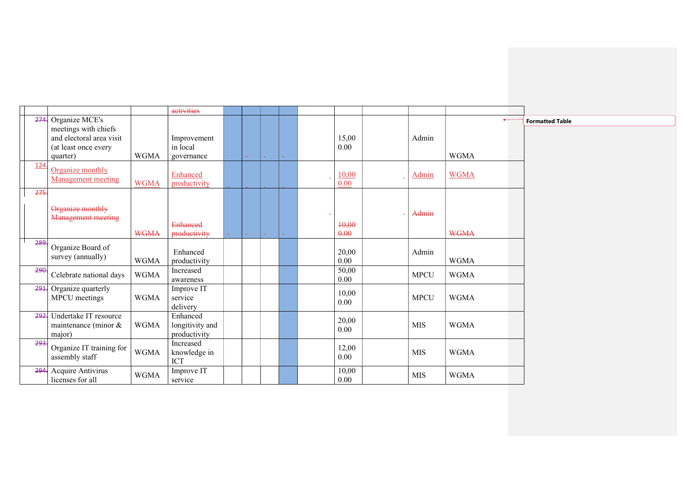|      |                           |             | activities                 |  |  |               |              |             |                        |
|------|---------------------------|-------------|----------------------------|--|--|---------------|--------------|-------------|------------------------|
| 274. | Organize MCE's            |             |                            |  |  |               |              |             | <b>Formatted Table</b> |
|      | meetings with chiefs      |             |                            |  |  |               |              |             |                        |
|      | and electoral area visit  |             | Improvement                |  |  | 15,00         | Admin        |             |                        |
|      | (at least once every      |             | in local                   |  |  | 0.00          |              |             |                        |
|      | quarter)                  | <b>WGMA</b> | governance                 |  |  |               |              | <b>WGMA</b> |                        |
| 124. | Organize monthly          |             |                            |  |  |               |              | <b>WGMA</b> |                        |
|      | Management meeting        | <b>WGMA</b> | Enhanced<br>productivity   |  |  | 10,00<br>0.00 | <b>Admin</b> |             |                        |
| 275. |                           |             |                            |  |  |               |              |             |                        |
|      | Organize monthly          |             |                            |  |  |               |              |             |                        |
|      | <b>Management meeting</b> |             |                            |  |  |               | Admin        |             |                        |
|      |                           |             | <b>Enhanced</b>            |  |  | 40,00         |              |             |                        |
|      |                           | <b>WGMA</b> | productivity               |  |  | 0.00          |              | <b>WGMA</b> |                        |
| 289. | Organize Board of         |             |                            |  |  |               |              |             |                        |
|      | survey (annually)         |             | Enhanced                   |  |  | 20,00         | Admin        |             |                        |
|      |                           | <b>WGMA</b> | productivity               |  |  | $0.00\,$      |              | <b>WGMA</b> |                        |
| 290. | Celebrate national days   | <b>WGMA</b> | Increased                  |  |  | 50,00         | <b>MPCU</b>  | <b>WGMA</b> |                        |
|      |                           |             | awareness                  |  |  | 0.00          |              |             |                        |
| 291. | Organize quarterly        |             | Improve IT                 |  |  | 10,00         |              |             |                        |
|      | MPCU meetings             | <b>WGMA</b> | service                    |  |  | 0.00          | <b>MPCU</b>  | <b>WGMA</b> |                        |
|      |                           |             | delivery                   |  |  |               |              |             |                        |
| 292. | Undertake IT resource     |             | Enhanced                   |  |  | 20,00         |              |             |                        |
|      | maintenance (minor $&$    | <b>WGMA</b> | longitivity and            |  |  | 0.00          | <b>MIS</b>   | <b>WGMA</b> |                        |
|      | major)                    |             | productivity               |  |  |               |              |             |                        |
| 293. | Organize IT training for  | <b>WGMA</b> | Increased                  |  |  | 12,00         | <b>MIS</b>   | <b>WGMA</b> |                        |
|      | assembly staff            |             | knowledge in<br><b>ICT</b> |  |  | 0.00          |              |             |                        |
| 294. | Acquire Antivirus         |             | Improve IT                 |  |  | 10,00         |              |             |                        |
|      | licenses for all          | <b>WGMA</b> | service                    |  |  | $0.00\,$      | <b>MIS</b>   | <b>WGMA</b> |                        |
|      |                           |             |                            |  |  |               |              |             |                        |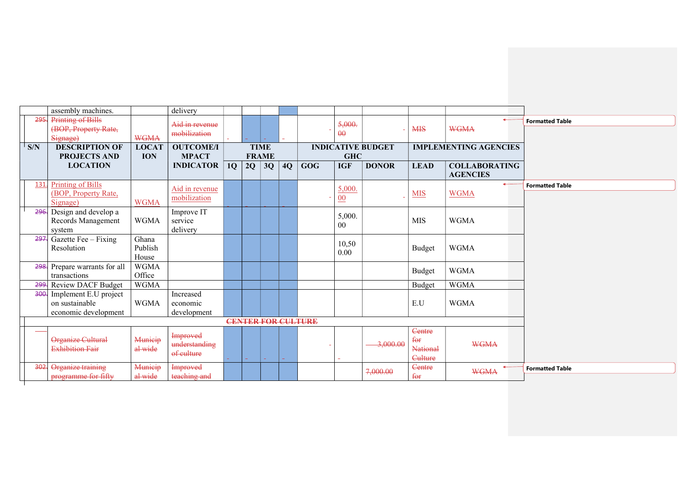|      | assembly machines.            |              | delivery         |    |              |             |    |                           |                |                          |                           |                              |                        |
|------|-------------------------------|--------------|------------------|----|--------------|-------------|----|---------------------------|----------------|--------------------------|---------------------------|------------------------------|------------------------|
| 295. | Printing of Bills             |              | Aid in revenue   |    |              |             |    |                           | 5,000.         |                          |                           | $\rightarrow$                | <b>Formatted Table</b> |
|      | (BOP, Property Rate,          |              | mobilization     |    |              |             |    |                           | $\theta$       |                          | <b>MIS</b>                | <b>WGMA</b>                  |                        |
|      | Signage)                      | <b>WGMA</b>  |                  |    |              |             |    |                           |                |                          |                           |                              |                        |
| S/N  | <b>DESCRIPTION OF</b>         | <b>LOCAT</b> | <b>OUTCOME/I</b> |    |              | <b>TIME</b> |    |                           |                | <b>INDICATIVE BUDGET</b> |                           | <b>IMPLEMENTING AGENCIES</b> |                        |
|      | <b>PROJECTS AND</b>           | <b>ION</b>   | <b>MPACT</b>     |    | <b>FRAME</b> |             |    |                           | <b>GHC</b>     |                          |                           |                              |                        |
|      | <b>LOCATION</b>               |              | <b>INDICATOR</b> | 1Q | 2Q           | 3Q          | 4Q | <b>GOG</b>                | <b>IGF</b>     | <b>DONOR</b>             | <b>LEAD</b>               | <b>COLLABORATING</b>         |                        |
|      |                               |              |                  |    |              |             |    |                           |                |                          |                           | <b>AGENCIES</b>              |                        |
| 131. | Printing of Bills             |              | Aid in revenue   |    |              |             |    |                           | 5,000.         |                          |                           | $\leftarrow$                 | <b>Formatted Table</b> |
|      | (BOP, Property Rate,          |              | mobilization     |    |              |             |    |                           | 00             |                          | <b>MIS</b>                | <b>WGMA</b>                  |                        |
|      | Signage)                      | <b>WGMA</b>  |                  |    |              |             |    |                           |                |                          |                           |                              |                        |
| 296. | Design and develop a          |              | Improve IT       |    |              |             |    |                           | 5,000.         |                          |                           |                              |                        |
|      | Records Management            | <b>WGMA</b>  | service          |    |              |             |    |                           | 0 <sub>0</sub> |                          | <b>MIS</b>                | <b>WGMA</b>                  |                        |
|      | system                        |              | delivery         |    |              |             |    |                           |                |                          |                           |                              |                        |
| 297. | Gazette Fee - Fixing          | Ghana        |                  |    |              |             |    |                           | 10,50          |                          |                           |                              |                        |
|      | Resolution                    | Publish      |                  |    |              |             |    |                           | 0.00           |                          | <b>Budget</b>             | <b>WGMA</b>                  |                        |
|      |                               | House        |                  |    |              |             |    |                           |                |                          |                           |                              |                        |
|      | 298. Prepare warrants for all | <b>WGMA</b>  |                  |    |              |             |    |                           |                |                          | <b>Budget</b>             | <b>WGMA</b>                  |                        |
|      | transactions                  | Office       |                  |    |              |             |    |                           |                |                          |                           |                              |                        |
|      | 299. Review DACF Budget       | <b>WGMA</b>  |                  |    |              |             |    |                           |                |                          | <b>Budget</b>             | <b>WGMA</b>                  |                        |
| 300. | Implement E.U project         |              | Increased        |    |              |             |    |                           |                |                          |                           |                              |                        |
|      | on sustainable                | <b>WGMA</b>  | economic         |    |              |             |    |                           |                |                          | $\mathop{\hbox{\rm E.U}}$ | <b>WGMA</b>                  |                        |
|      | economic development          |              | development      |    |              |             |    |                           |                |                          |                           |                              |                        |
|      |                               |              |                  |    |              |             |    | <b>CENTER FOR CULTURE</b> |                |                          |                           |                              |                        |
|      |                               |              | Improved         |    |              |             |    |                           |                |                          | Centre                    |                              |                        |
|      | Organize Cultural             | Municip      | understanding    |    |              |             |    |                           |                | 3,000.00                 | $f_{\theta}$              | <b>WGMA</b>                  |                        |
|      | <b>Exhibition Fair</b>        | al wide      | of culture       |    |              |             |    |                           |                |                          | <b>National</b>           |                              |                        |
|      |                               |              |                  |    | a.           |             |    |                           |                |                          | Culture                   |                              |                        |
| 302. | Organize training             | Municip      | <b>Improved</b>  |    |              |             |    |                           |                | 7,000.00                 | Centre                    | <b>WGMA</b>                  | <b>Formatted Table</b> |
|      | programme for fifty           | al wide      | teaching and     |    |              |             |    |                           |                |                          | $f_{\theta f}$            |                              |                        |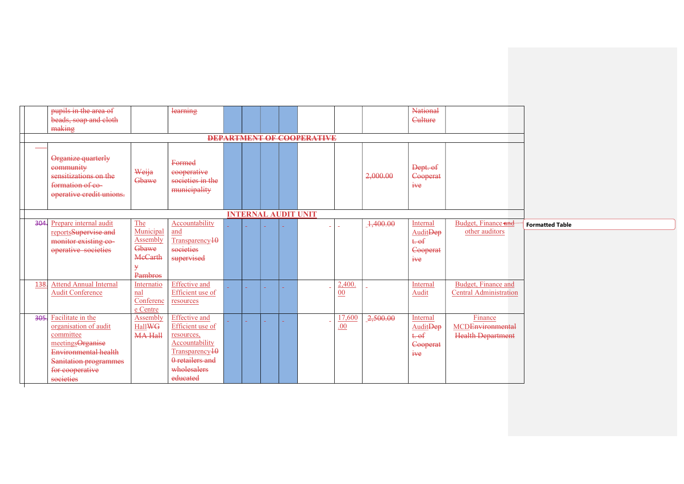|      | pupils in the area of<br>beads, soap and cloth<br>making                                                                                                          |                                                                                    | learning                                                                                                                                             |  |  |                                  |                |          | <b>National</b><br>Culture                                        |                                                         |                        |
|------|-------------------------------------------------------------------------------------------------------------------------------------------------------------------|------------------------------------------------------------------------------------|------------------------------------------------------------------------------------------------------------------------------------------------------|--|--|----------------------------------|----------------|----------|-------------------------------------------------------------------|---------------------------------------------------------|------------------------|
|      |                                                                                                                                                                   |                                                                                    |                                                                                                                                                      |  |  | <b>DEPARTMENT OF COOPERATIVE</b> |                |          |                                                                   |                                                         |                        |
|      | Organize quarterly<br>community<br>sensitizations on the<br>formation of eo-<br>operative credit unions.                                                          | Weija<br>Gbawe                                                                     | Formed<br>eooperative<br>societies in the<br>municipality                                                                                            |  |  |                                  |                | 2,000.00 | Dept. of<br>Cooperat<br>$i$ <sup>we</sup>                         |                                                         |                        |
|      |                                                                                                                                                                   |                                                                                    |                                                                                                                                                      |  |  | <b>INTERNAL AUDIT UNIT</b>       |                |          |                                                                   |                                                         |                        |
|      | 304. Prepare internal audit<br>reportsSupervise and<br>monitor existing co-<br>operative societies                                                                | The<br>Municipal<br>Assembly<br>Gbawe<br><b>MeCarth</b><br>$\mathbf{y}$<br>Pambros | Accountability<br>and<br>Transparency $10$<br>societies<br>supervised                                                                                |  |  |                                  |                | 1,400.00 | Internal<br><b>AuditDep</b><br>$t - 0f$<br>Cooperat<br>$i$ we     | Budget, Finance and<br>other auditors                   | <b>Formatted Table</b> |
| 138. | <b>Attend Annual Internal</b><br><b>Audit Conference</b>                                                                                                          | Internatio<br>nal<br>Conferenc<br>e Centre                                         | <b>Effective</b> and<br>Efficient use of<br>resources                                                                                                |  |  |                                  | 2,400<br>00    |          | Internal<br>Audit                                                 | Budget, Finance and<br><b>Central Administration</b>    |                        |
|      | 305. Facilitate in the<br>organisation of audit<br>committee<br>meetingsOrganise<br>Environmental health<br>Sanitation programmes<br>for cooperative<br>societies | Assembly<br><b>HallWG</b><br><b>MA Hall</b>                                        | <b>Effective</b> and<br>Efficient use of<br>resources,<br>Accountability<br>Transparency <sub>10</sub><br>0 retailers and<br>wholesalers<br>educated |  |  |                                  | 17,600<br>.00. | 2,500.00 | Internal<br>Audit <del>Dep</del><br>$t.$ of<br>Cooperat<br>$i$ we | Finance<br>MCDEnvironmental<br><b>Health Department</b> |                        |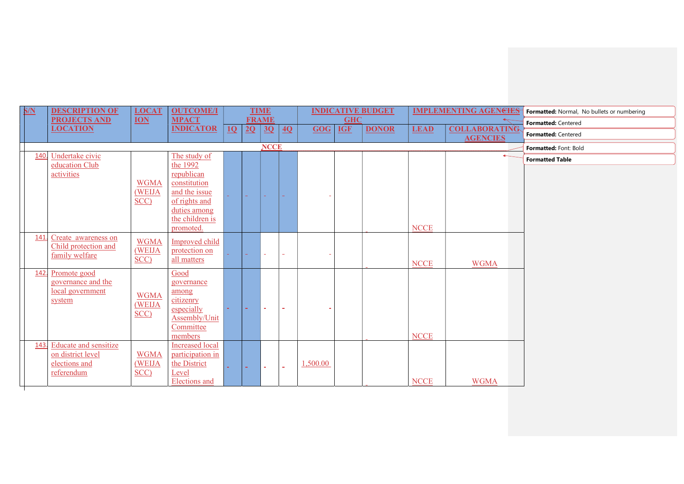| S/N  | <b>DESCRIPTION OF</b><br><b>PROJECTS AND</b> | <b>LOCAT</b><br><b>ION</b> | <b>OUTCOME/I</b><br><b>MPACT</b>           |    |        | <b>TIME</b><br><b>FRAME</b> |    |          | <b>GHC</b> | <b>INDICATIVE BUDGET</b> |             | <b>IMPLEMENTING AGENCIES</b> | Formatted: Normal, No bullets or numbering |
|------|----------------------------------------------|----------------------------|--------------------------------------------|----|--------|-----------------------------|----|----------|------------|--------------------------|-------------|------------------------------|--------------------------------------------|
|      | <b>LOCATION</b>                              |                            | <b>INDICATOR</b>                           | 1Q | 2Q     | 3Q                          | 4Q | GOG      | <b>IGF</b> | <b>DONOR</b>             | <b>LEAD</b> | <b>COLLABORATING</b>         | Formatted: Centered                        |
|      |                                              |                            |                                            |    |        |                             |    |          |            |                          |             | <b>AGENCIES</b>              | Formatted: Centered                        |
|      |                                              |                            |                                            |    |        | <b>NCCE</b>                 |    |          |            |                          |             |                              | Formatted: Font: Bold                      |
| 140. | Undertake civic                              |                            | The study of                               |    |        |                             |    |          |            |                          |             |                              | <b>Formatted Table</b>                     |
|      | education Club<br>activities                 |                            | the 1992<br>republican                     |    |        |                             |    |          |            |                          |             |                              |                                            |
|      |                                              | <b>WGMA</b>                | constitution                               |    |        |                             |    |          |            |                          |             |                              |                                            |
|      |                                              | (WEIJA                     | and the issue                              |    | ш.     |                             |    |          |            |                          |             |                              |                                            |
|      |                                              | SCC                        | of rights and                              |    |        |                             |    |          |            |                          |             |                              |                                            |
|      |                                              |                            | duties among                               |    |        |                             |    |          |            |                          |             |                              |                                            |
|      |                                              |                            | the children is                            |    |        |                             |    |          |            |                          | <b>NCCE</b> |                              |                                            |
| 141. | Create awareness on                          |                            | promoted.                                  |    |        |                             |    |          |            |                          |             |                              |                                            |
|      | Child protection and                         | <b>WGMA</b>                | <b>Improved</b> child                      |    |        |                             |    |          |            |                          |             |                              |                                            |
|      | family welfare                               | (WEIJA                     | protection on                              |    |        | $\sim$                      | ä. |          |            |                          |             |                              |                                            |
|      |                                              | SCC                        | all matters                                |    |        |                             |    |          |            |                          | <b>NCCE</b> | <b>WGMA</b>                  |                                            |
| 142. | Promote good                                 |                            | Good                                       |    |        |                             |    |          |            |                          |             |                              |                                            |
|      | governance and the<br>local government       |                            | governance                                 |    |        |                             |    |          |            |                          |             |                              |                                            |
|      | system                                       | <b>WGMA</b>                | among<br>citizenry                         |    |        |                             |    |          |            |                          |             |                              |                                            |
|      |                                              | (WEIJA                     | especially                                 |    |        | $\sim$                      | ÷. |          |            |                          |             |                              |                                            |
|      |                                              | SCC                        | Assembly/Unit                              |    |        |                             |    |          |            |                          |             |                              |                                            |
|      |                                              |                            | Committee                                  |    |        |                             |    |          |            |                          |             |                              |                                            |
|      |                                              |                            | members                                    |    |        |                             |    |          |            |                          | <b>NCCE</b> |                              |                                            |
| 143. | <b>Educate and sensitize</b>                 | <b>WGMA</b>                | <b>Increased</b> local<br>participation in |    |        |                             |    |          |            |                          |             |                              |                                            |
|      | on district level<br>elections and           | (WEIJA                     | the District                               |    |        |                             |    | 1,500.00 |            |                          |             |                              |                                            |
|      | referendum                                   | SCC                        | Level                                      |    | $\sim$ | ä,                          |    |          |            |                          |             |                              |                                            |
|      |                                              |                            | <b>Elections</b> and                       |    |        |                             |    |          |            |                          | <b>NCCE</b> | <b>WGMA</b>                  |                                            |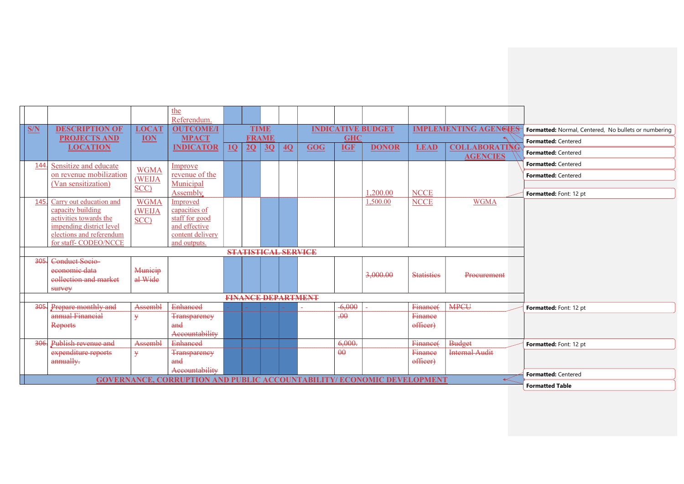|      |                                                    |                | the                                                                          |    |    |                            |    |                           |            |                          |                   |                                         |                                                      |
|------|----------------------------------------------------|----------------|------------------------------------------------------------------------------|----|----|----------------------------|----|---------------------------|------------|--------------------------|-------------------|-----------------------------------------|------------------------------------------------------|
| S/N  | <b>DESCRIPTION OF</b>                              | <b>LOCAT</b>   | Referendum.<br><b>OUTCOME/I</b>                                              |    |    | <b>TIME</b>                |    |                           |            | <b>INDICATIVE BUDGET</b> |                   | <b>IMPLEMENTING AGENGIES</b>            | Formatted: Normal, Centered, No bullets or numbering |
|      | <b>PROJECTS AND</b>                                | <b>ION</b>     | <b>MPACT</b>                                                                 |    |    | <b>FRAME</b>               |    |                           | <b>GHC</b> |                          |                   |                                         | Formatted: Centered                                  |
|      | <b>LOCATION</b>                                    |                | <b>INDICATOR</b>                                                             | 10 | 2Q | 3Q                         | 4Q | <b>GOG</b>                | <b>IGF</b> | <b>DONOR</b>             | <b>LEAD</b>       | <b>COLLABORATING</b><br><b>AGENCIES</b> | Formatted: Centered                                  |
| 144  | Sensitize and educate                              |                | Improve                                                                      |    |    |                            |    |                           |            |                          |                   |                                         | Formatted: Centered                                  |
|      | on revenue mobilization                            | <b>WGMA</b>    | revenue of the                                                               |    |    |                            |    |                           |            |                          |                   |                                         | Formatted: Centered                                  |
|      | (Van sensitization)                                | (WEIJA         | Municipal                                                                    |    |    |                            |    |                           |            |                          |                   |                                         |                                                      |
|      |                                                    | SCC)           | Assembly.                                                                    |    |    |                            |    |                           |            | 1,200.00                 | <b>NCCE</b>       |                                         | Formatted: Font: 12 pt                               |
| 145. | Carry out education and                            | <b>WGMA</b>    | Improved                                                                     |    |    |                            |    |                           |            | 1,500.00                 | <b>NCCE</b>       | <b>WGMA</b>                             |                                                      |
|      | capacity building                                  | (WEIJA         | capacities of                                                                |    |    |                            |    |                           |            |                          |                   |                                         |                                                      |
|      | activities towards the<br>impending district level | SCC)           | staff for good<br>and effective                                              |    |    |                            |    |                           |            |                          |                   |                                         |                                                      |
|      | elections and referendum                           |                | content delivery                                                             |    |    |                            |    |                           |            |                          |                   |                                         |                                                      |
|      | for staff-CODEO/NCCE                               |                | and outputs.                                                                 |    |    |                            |    |                           |            |                          |                   |                                         |                                                      |
|      |                                                    |                |                                                                              |    |    | <b>STATISTICAL SERVICE</b> |    |                           |            |                          |                   |                                         |                                                      |
| 305  | Conduct Socio-                                     |                |                                                                              |    |    |                            |    |                           |            |                          |                   |                                         |                                                      |
|      | economic data                                      | Municip        |                                                                              |    |    |                            |    |                           |            | 3,000.00                 | <b>Statisties</b> | Procurement                             |                                                      |
|      | collection and market                              | al Wide        |                                                                              |    |    |                            |    |                           |            |                          |                   |                                         |                                                      |
|      | survey                                             |                |                                                                              |    |    |                            |    |                           |            |                          |                   |                                         |                                                      |
|      |                                                    |                |                                                                              |    |    |                            |    | <b>FINANCE DEPARTMENT</b> |            |                          |                   |                                         |                                                      |
| 305  | Prepare monthly and                                | <b>Assembl</b> | <b>Enhanced</b>                                                              |    |    |                            |    |                           | $-6,000$   |                          | Finance(          | <b>MPCU</b>                             | Formatted: Font: 12 pt                               |
|      | annual Financial                                   | ¥              | <b>Transparency</b>                                                          |    |    |                            |    |                           | $\theta$   |                          | Finance           |                                         |                                                      |
|      | <b>Reports</b>                                     |                | and                                                                          |    |    |                            |    |                           |            |                          | officer)          |                                         |                                                      |
|      |                                                    |                | Accountability                                                               |    |    |                            |    |                           |            |                          |                   |                                         |                                                      |
| 306. | Publish revenue and                                | Assembl        | <b>Enhanced</b>                                                              |    |    |                            |    |                           | 6,000.     |                          | Finance(          | <b>Budget</b>                           | Formatted: Font: 12 pt                               |
|      | expenditure reports                                | ¥              | <b>Transparency</b>                                                          |    |    |                            |    |                           | $\theta$   |                          | Finance           | <b>Internal Audit</b>                   |                                                      |
|      | annually.                                          |                | and                                                                          |    |    |                            |    |                           |            |                          | officer)          |                                         |                                                      |
|      |                                                    |                | Accountability                                                               |    |    |                            |    |                           |            |                          |                   |                                         | Formatted: Centered                                  |
|      |                                                    |                | <b>GOVERNANCE, CORRUPTION AND PUBLIC ACCOUNTABILITY/ECONOMIC DEVELOPMENT</b> |    |    |                            |    |                           |            |                          |                   |                                         | <b>Formatted Table</b>                               |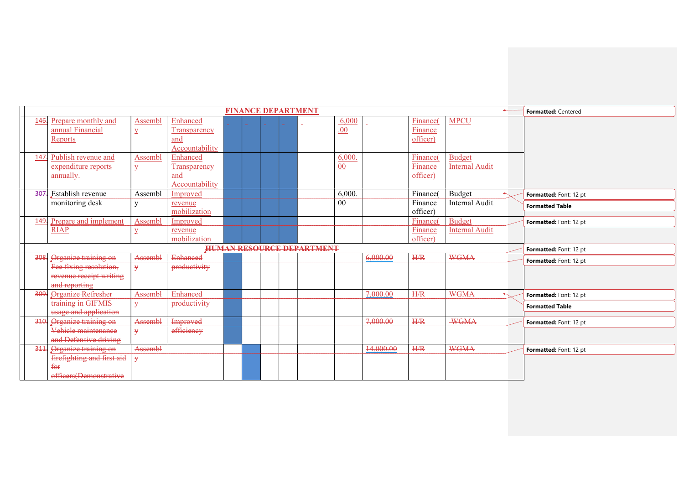|      |                                          |                |                 |  |  | <b>FINANCE DEPARTMENT</b>        |        |           |                |                       | $\leftarrow$ | Formatted: Centered    |
|------|------------------------------------------|----------------|-----------------|--|--|----------------------------------|--------|-----------|----------------|-----------------------|--------------|------------------------|
| 146. | Prepare monthly and                      | Assembl        | Enhanced        |  |  |                                  | 6,000  |           | Finance(       | <b>MPCU</b>           |              |                        |
|      | annual Financial                         | $\overline{Y}$ | Transparency    |  |  |                                  | .00.   |           | Finance        |                       |              |                        |
|      | Reports                                  |                | and             |  |  |                                  |        |           | officer)       |                       |              |                        |
|      |                                          |                | Accountability  |  |  |                                  |        |           |                |                       |              |                        |
| 147  | Publish revenue and                      | Assembl        | Enhanced        |  |  |                                  | 6.000. |           | Finance(       | <b>Budget</b>         |              |                        |
|      | expenditure reports                      | $\overline{Y}$ | Transparency    |  |  |                                  | 00     |           | Finance        | <b>Internal Audit</b> |              |                        |
|      | annually.                                |                | and             |  |  |                                  |        |           | officer)       |                       |              |                        |
|      |                                          |                | Accountability  |  |  |                                  |        |           |                |                       |              |                        |
|      | 307. Establish revenue                   | Assembl        | Improved        |  |  |                                  | 6,000. |           | Finance(       | Budget                |              | Formatted: Font: 12 pt |
|      | monitoring desk                          | $\mathbf{V}$   | revenue         |  |  |                                  | 00     |           | Finance        | Internal Audit        |              | <b>Formatted Table</b> |
|      |                                          |                | mobilization    |  |  |                                  |        |           | officer)       |                       |              |                        |
| 149. | Prepare and implement                    | Assembl        | Improved        |  |  |                                  |        |           | <b>Finance</b> | <b>Budget</b>         |              | Formatted: Font: 12 pt |
|      | <b>RIAP</b>                              | $\overline{Y}$ | revenue         |  |  |                                  |        |           | Finance        | <b>Internal Audit</b> |              |                        |
|      |                                          |                | mobilization    |  |  |                                  |        |           | officer)       |                       |              |                        |
|      |                                          |                |                 |  |  |                                  |        |           |                |                       |              |                        |
|      |                                          |                |                 |  |  | <b>HUMAN RESOURCE DEPARTMENT</b> |        |           |                |                       |              | Formatted: Font: 12 pt |
| 308  | Organize training on                     | Assembl        | <b>Enhanced</b> |  |  |                                  |        | 6,000.00  | H/R            | <b>WGMA</b>           |              | Formatted: Font: 12 pt |
|      | Fee fixing resolution,                   | ¥              | productivity    |  |  |                                  |        |           |                |                       |              |                        |
|      | revenue receipt writing                  |                |                 |  |  |                                  |        |           |                |                       |              |                        |
|      | and reporting                            |                |                 |  |  |                                  |        |           |                |                       |              |                        |
| 309  | Organize Refresher                       | Assembl        | <b>Enhanced</b> |  |  |                                  |        | 7,000.00  | H/R            | <b>WGMA</b>           |              | Formatted: Font: 12 pt |
|      | training in GIFMIS                       | ¥              | productivity    |  |  |                                  |        |           |                |                       |              | <b>Formatted Table</b> |
|      | usage and application                    |                |                 |  |  |                                  |        |           |                |                       |              |                        |
| 310. | Organize training on                     | Assembl        | Improved        |  |  |                                  |        | 7,000.00  | H/R            | <b>WGMA</b>           |              | Formatted: Font: 12 pt |
|      | Vehicle maintenance                      | ¥              | efficiency      |  |  |                                  |        |           |                |                       |              |                        |
|      | and Defensive driving                    |                |                 |  |  |                                  |        |           |                |                       |              |                        |
| 311  | Organize training on                     | Assembl        |                 |  |  |                                  |        | 14,000.00 | H/R            | <b>WGMA</b>           |              | Formatted: Font: 12 pt |
|      | firefighting and first aid               | ¥              |                 |  |  |                                  |        |           |                |                       |              |                        |
|      | <del>for</del><br>officers(Demonstrative |                |                 |  |  |                                  |        |           |                |                       |              |                        |